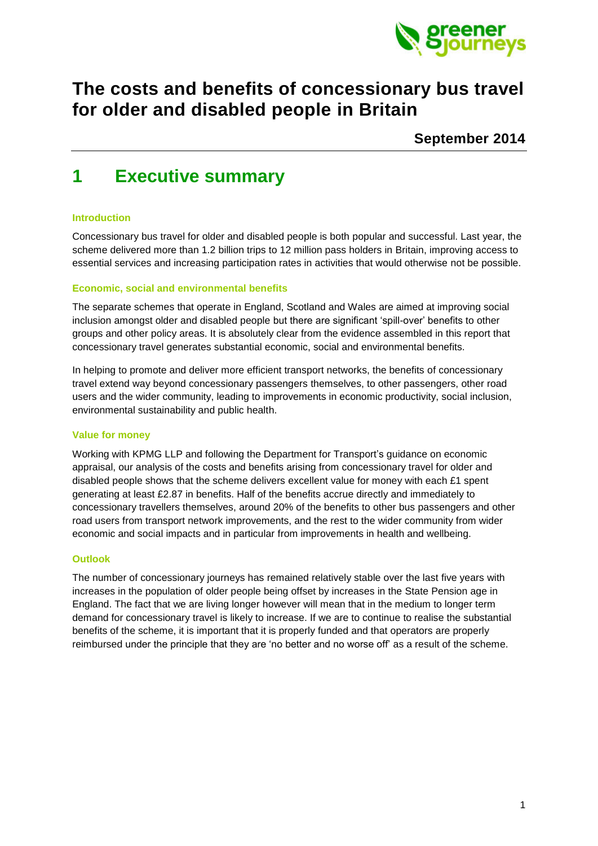

# **The costs and benefits of concessionary bus travel for older and disabled people in Britain**

### **September 2014**

# **1 Executive summary**

#### **Introduction**

Concessionary bus travel for older and disabled people is both popular and successful. Last year, the scheme delivered more than 1.2 billion trips to 12 million pass holders in Britain, improving access to essential services and increasing participation rates in activities that would otherwise not be possible.

#### **Economic, social and environmental benefits**

The separate schemes that operate in England, Scotland and Wales are aimed at improving social inclusion amongst older and disabled people but there are significant 'spill-over' benefits to other groups and other policy areas. It is absolutely clear from the evidence assembled in this report that concessionary travel generates substantial economic, social and environmental benefits.

In helping to promote and deliver more efficient transport networks, the benefits of concessionary travel extend way beyond concessionary passengers themselves, to other passengers, other road users and the wider community, leading to improvements in economic productivity, social inclusion, environmental sustainability and public health.

#### **Value for money**

Working with KPMG LLP and following the Department for Transport's guidance on economic appraisal, our analysis of the costs and benefits arising from concessionary travel for older and disabled people shows that the scheme delivers excellent value for money with each £1 spent generating at least £2.87 in benefits. Half of the benefits accrue directly and immediately to concessionary travellers themselves, around 20% of the benefits to other bus passengers and other road users from transport network improvements, and the rest to the wider community from wider economic and social impacts and in particular from improvements in health and wellbeing.

#### **Outlook**

The number of concessionary journeys has remained relatively stable over the last five years with increases in the population of older people being offset by increases in the State Pension age in England. The fact that we are living longer however will mean that in the medium to longer term demand for concessionary travel is likely to increase. If we are to continue to realise the substantial benefits of the scheme, it is important that it is properly funded and that operators are properly reimbursed under the principle that they are 'no better and no worse off' as a result of the scheme.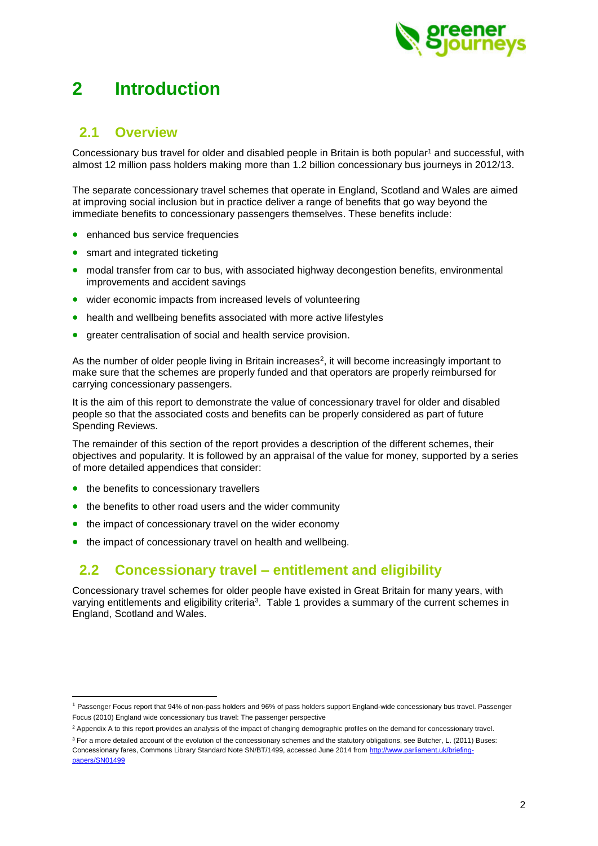

# **2 Introduction**

### **2.1 Overview**

Concessionary bus travel for older and disabled people in Britain is both popular<sup>1</sup> and successful, with almost 12 million pass holders making more than 1.2 billion concessionary bus journeys in 2012/13.

The separate concessionary travel schemes that operate in England, Scotland and Wales are aimed at improving social inclusion but in practice deliver a range of benefits that go way beyond the immediate benefits to concessionary passengers themselves. These benefits include:

- enhanced bus service frequencies
- smart and integrated ticketing
- modal transfer from car to bus, with associated highway decongestion benefits, environmental improvements and accident savings
- wider economic impacts from increased levels of volunteering
- health and wellbeing benefits associated with more active lifestyles
- greater centralisation of social and health service provision.

As the number of older people living in Britain increases<sup>2</sup>, it will become increasingly important to make sure that the schemes are properly funded and that operators are properly reimbursed for carrying concessionary passengers.

It is the aim of this report to demonstrate the value of concessionary travel for older and disabled people so that the associated costs and benefits can be properly considered as part of future Spending Reviews.

The remainder of this section of the report provides a description of the different schemes, their objectives and popularity. It is followed by an appraisal of the value for money, supported by a series of more detailed appendices that consider:

• the benefits to concessionary travellers

1

- the benefits to other road users and the wider community
- the impact of concessionary travel on the wider economy
- the impact of concessionary travel on health and wellbeing.

## **2.2 Concessionary travel – entitlement and eligibility**

Concessionary travel schemes for older people have existed in Great Britain for many years, with varying entitlements and eligibility criteria<sup>3</sup>. Table 1 provides a summary of the current schemes in England, Scotland and Wales.

<sup>1</sup> Passenger Focus report that 94% of non-pass holders and 96% of pass holders support England-wide concessionary bus travel. Passenger Focus (2010) England wide concessionary bus travel: The passenger perspective

<sup>&</sup>lt;sup>2</sup> Appendix A to this report provides an analysis of the impact of changing demographic profiles on the demand for concessionary travel.

<sup>&</sup>lt;sup>3</sup> For a more detailed account of the evolution of the concessionary schemes and the statutory obligations, see Butcher, L. (2011) Buses: Concessionary fares, Commons Library Standard Note SN/BT/1499, accessed June 2014 from [http://www.parliament.uk/briefing](http://www.parliament.uk/briefing-papers/SN01499)[papers/SN01499](http://www.parliament.uk/briefing-papers/SN01499)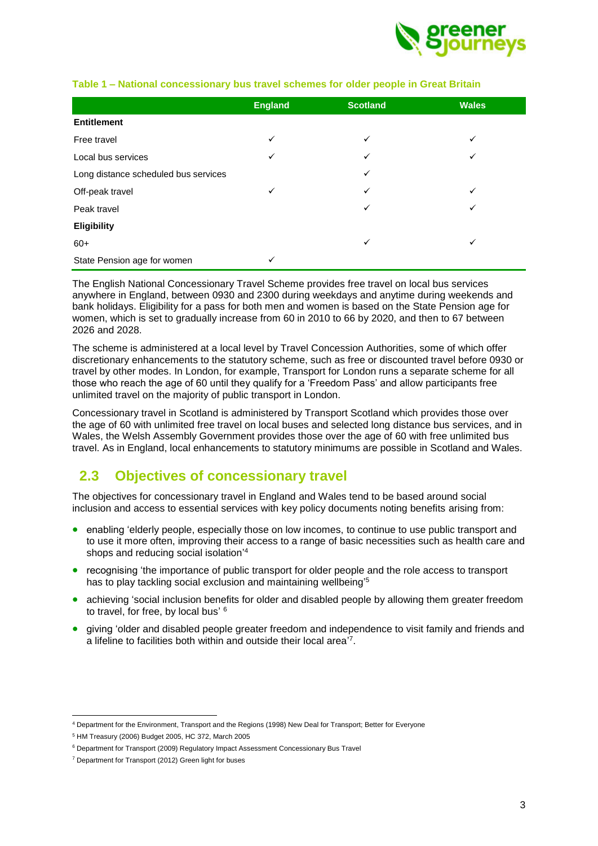

|                                      | <b>England</b> | <b>Scotland</b> | <b>Wales</b> |
|--------------------------------------|----------------|-----------------|--------------|
| <b>Entitlement</b>                   |                |                 |              |
| Free travel                          | ✓              | ✓               | ✓            |
| Local bus services                   | ✓              | ✓               | ✓            |
| Long distance scheduled bus services |                | ✓               |              |
| Off-peak travel                      | ✓              | ✓               | ✓            |
| Peak travel                          |                | ✓               | ✓            |
| <b>Eligibility</b>                   |                |                 |              |
| $60+$                                |                | ✓               | ✓            |
| State Pension age for women          | ✓              |                 |              |

#### **Table 1 – National concessionary bus travel schemes for older people in Great Britain**

The English National Concessionary Travel Scheme provides free travel on local bus services anywhere in England, between 0930 and 2300 during weekdays and anytime during weekends and bank holidays. Eligibility for a pass for both men and women is based on the State Pension age for women, which is set to gradually increase from 60 in 2010 to 66 by 2020, and then to 67 between 2026 and 2028.

The scheme is administered at a local level by Travel Concession Authorities, some of which offer discretionary enhancements to the statutory scheme, such as free or discounted travel before 0930 or travel by other modes. In London, for example, Transport for London runs a separate scheme for all those who reach the age of 60 until they qualify for a 'Freedom Pass' and allow participants free unlimited travel on the majority of public transport in London.

Concessionary travel in Scotland is administered by Transport Scotland which provides those over the age of 60 with unlimited free travel on local buses and selected long distance bus services, and in Wales, the Welsh Assembly Government provides those over the age of 60 with free unlimited bus travel. As in England, local enhancements to statutory minimums are possible in Scotland and Wales.

## **2.3 Objectives of concessionary travel**

The objectives for concessionary travel in England and Wales tend to be based around social inclusion and access to essential services with key policy documents noting benefits arising from:

- enabling 'elderly people, especially those on low incomes, to continue to use public transport and to use it more often, improving their access to a range of basic necessities such as health care and shops and reducing social isolation' 4
- recognising 'the importance of public transport for older people and the role access to transport has to play tackling social exclusion and maintaining wellbeing'<sup>5</sup>
- achieving 'social inclusion benefits for older and disabled people by allowing them greater freedom to travel, for free, by local bus' 6
- giving 'older and disabled people greater freedom and independence to visit family and friends and a lifeline to facilities both within and outside their local area' 7 .

<sup>1</sup> <sup>4</sup> Department for the Environment, Transport and the Regions (1998) New Deal for Transport; Better for Everyone

<sup>5</sup> HM Treasury (2006) Budget 2005, HC 372, March 2005

<sup>6</sup> Department for Transport (2009) Regulatory Impact Assessment Concessionary Bus Travel

<sup>7</sup> Department for Transport (2012) Green light for buses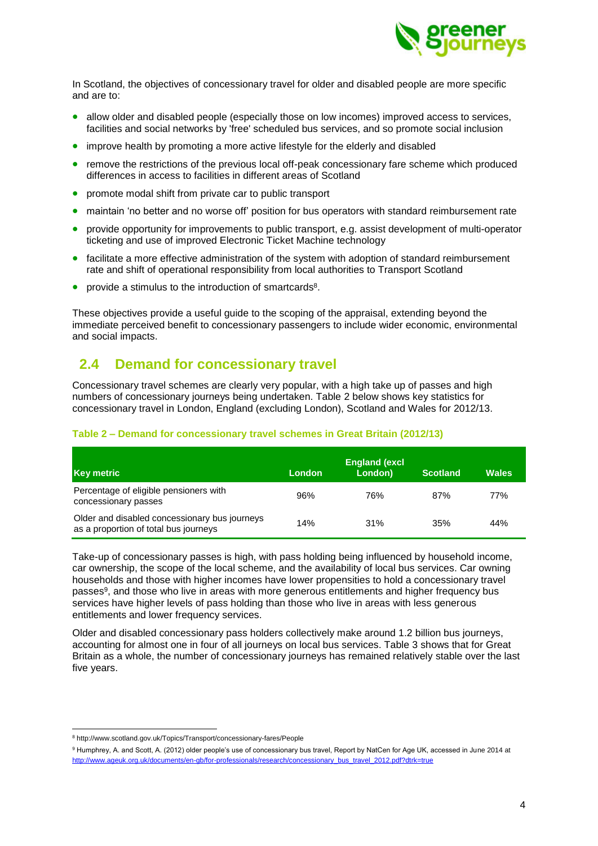

In Scotland, the objectives of concessionary travel for older and disabled people are more specific and are to:

- allow older and disabled people (especially those on low incomes) improved access to services, facilities and social networks by 'free' scheduled bus services, and so promote social inclusion
- improve health by promoting a more active lifestyle for the elderly and disabled
- remove the restrictions of the previous local off-peak concessionary fare scheme which produced differences in access to facilities in different areas of Scotland
- promote modal shift from private car to public transport
- maintain 'no better and no worse off' position for bus operators with standard reimbursement rate
- provide opportunity for improvements to public transport, e.g. assist development of multi-operator ticketing and use of improved Electronic Ticket Machine technology
- facilitate a more effective administration of the system with adoption of standard reimbursement rate and shift of operational responsibility from local authorities to Transport Scotland
- provide a stimulus to the introduction of smartcards<sup>8</sup>.

These objectives provide a useful quide to the scoping of the appraisal, extending beyond the immediate perceived benefit to concessionary passengers to include wider economic, environmental and social impacts.

### **2.4 Demand for concessionary travel**

Concessionary travel schemes are clearly very popular, with a high take up of passes and high numbers of concessionary journeys being undertaken. Table 2 below shows key statistics for concessionary travel in London, England (excluding London), Scotland and Wales for 2012/13.

#### **Table 2 – Demand for concessionary travel schemes in Great Britain (2012/13)**

| Key metric                                                                             | London | <b>England (excl</b><br>London) | <b>Scotland</b> | <b>Wales</b> |
|----------------------------------------------------------------------------------------|--------|---------------------------------|-----------------|--------------|
| Percentage of eligible pensioners with<br>concessionary passes                         | 96%    | 76%                             | 87%             | 77%          |
| Older and disabled concessionary bus journeys<br>as a proportion of total bus journeys | 14%    | 31%                             | 35%             | 44%          |

Take-up of concessionary passes is high, with pass holding being influenced by household income, car ownership, the scope of the local scheme, and the availability of local bus services. Car owning households and those with higher incomes have lower propensities to hold a concessionary travel passes<sup>9</sup>, and those who live in areas with more generous entitlements and higher frequency bus services have higher levels of pass holding than those who live in areas with less generous entitlements and lower frequency services.

Older and disabled concessionary pass holders collectively make around 1.2 billion bus journeys, accounting for almost one in four of all journeys on local bus services. Table 3 shows that for Great Britain as a whole, the number of concessionary journeys has remained relatively stable over the last five years.

**.** 

<sup>8</sup> http://www.scotland.gov.uk/Topics/Transport/concessionary-fares/People

<sup>9</sup> Humphrey, A. and Scott, A. (2012) older people's use of concessionary bus travel, Report by NatCen for Age UK, accessed in June 2014 at [http://www.ageuk.org.uk/documents/en-gb/for-professionals/research/concessionary\\_bus\\_travel\\_2012.pdf?dtrk=true](http://www.ageuk.org.uk/documents/en-gb/for-professionals/research/concessionary_bus_travel_2012.pdf?dtrk=true)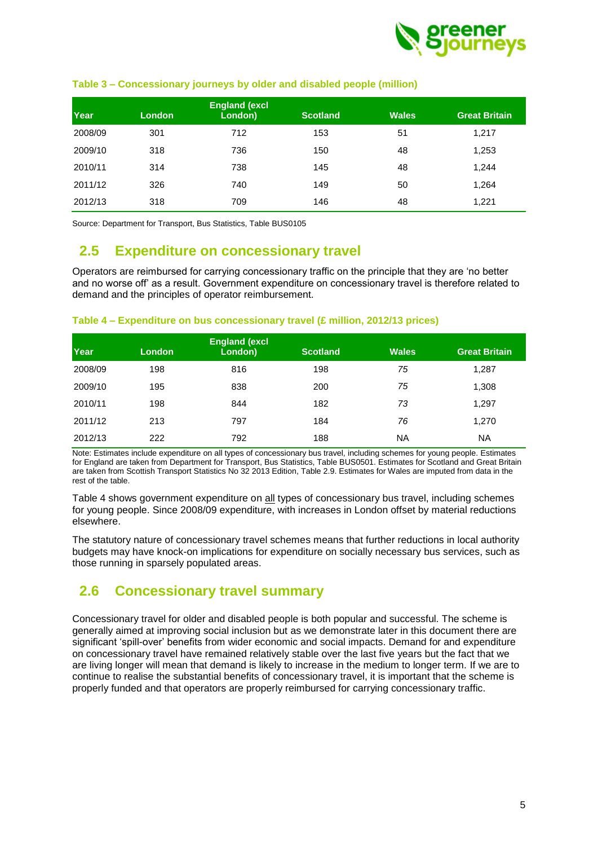

| Table 3 – Concessionary journeys by older and disabled people (million) |  |  |  |
|-------------------------------------------------------------------------|--|--|--|
|                                                                         |  |  |  |

| Year    | <b>London</b> | <b>England (excl</b><br>London) | <b>Scotland</b> | <b>Wales</b> | <b>Great Britain</b> |
|---------|---------------|---------------------------------|-----------------|--------------|----------------------|
| 2008/09 | 301           | 712                             | 153             | 51           | 1,217                |
| 2009/10 | 318           | 736                             | 150             | 48           | 1,253                |
| 2010/11 | 314           | 738                             | 145             | 48           | 1,244                |
| 2011/12 | 326           | 740                             | 149             | 50           | 1,264                |
| 2012/13 | 318           | 709                             | 146             | 48           | 1,221                |

Source: Department for Transport, Bus Statistics, Table BUS0105

## **2.5 Expenditure on concessionary travel**

Operators are reimbursed for carrying concessionary traffic on the principle that they are 'no better and no worse off' as a result. Government expenditure on concessionary travel is therefore related to demand and the principles of operator reimbursement.

| <b>Year</b> | <b>London</b> | <b>England (excl</b><br>London) | <b>Scotland</b> | <b>Wales</b> | <b>Great Britain</b> |
|-------------|---------------|---------------------------------|-----------------|--------------|----------------------|
| 2008/09     | 198           | 816                             | 198             | 75           | 1,287                |
| 2009/10     | 195           | 838                             | 200             | 75           | 1,308                |
| 2010/11     | 198           | 844                             | 182             | 73           | 1,297                |
| 2011/12     | 213           | 797                             | 184             | 76           | 1,270                |
| 2012/13     | 222           | 792                             | 188             | NA           | <b>NA</b>            |

#### **Table 4 – Expenditure on bus concessionary travel (£ million, 2012/13 prices)**

Note: Estimates include expenditure on all types of concessionary bus travel, including schemes for young people. Estimates for England are taken from Department for Transport, Bus Statistics, Table BUS0501. Estimates for Scotland and Great Britain are taken from Scottish Transport Statistics No 32 2013 Edition, Table 2.9. Estimates for Wales are imputed from data in the rest of the table.

Table 4 shows government expenditure on all types of concessionary bus travel, including schemes for young people. Since 2008/09 expenditure, with increases in London offset by material reductions elsewhere.

The statutory nature of concessionary travel schemes means that further reductions in local authority budgets may have knock-on implications for expenditure on socially necessary bus services, such as those running in sparsely populated areas.

## **2.6 Concessionary travel summary**

Concessionary travel for older and disabled people is both popular and successful. The scheme is generally aimed at improving social inclusion but as we demonstrate later in this document there are significant 'spill-over' benefits from wider economic and social impacts. Demand for and expenditure on concessionary travel have remained relatively stable over the last five years but the fact that we are living longer will mean that demand is likely to increase in the medium to longer term. If we are to continue to realise the substantial benefits of concessionary travel, it is important that the scheme is properly funded and that operators are properly reimbursed for carrying concessionary traffic.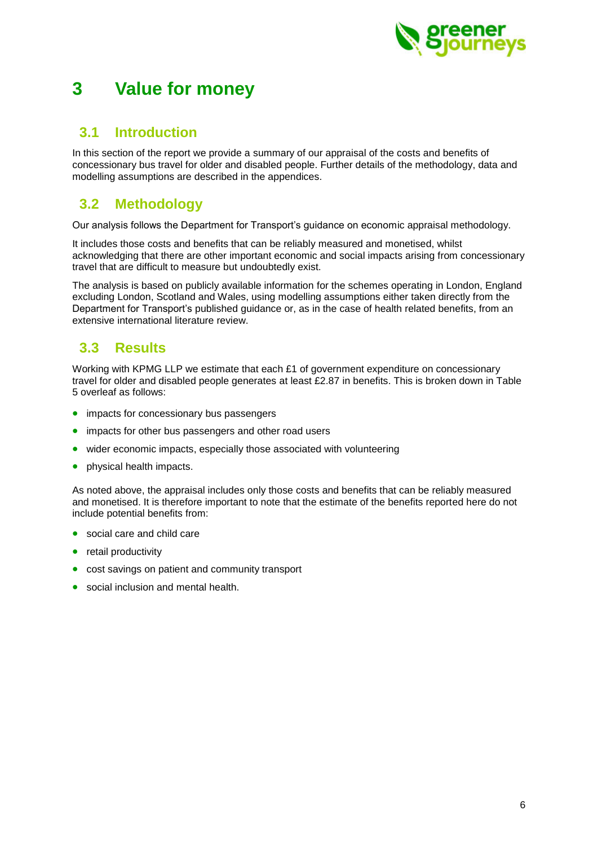

# **3 Value for money**

### **3.1 Introduction**

In this section of the report we provide a summary of our appraisal of the costs and benefits of concessionary bus travel for older and disabled people. Further details of the methodology, data and modelling assumptions are described in the appendices.

## **3.2 Methodology**

Our analysis follows the Department for Transport's guidance on economic appraisal methodology.

It includes those costs and benefits that can be reliably measured and monetised, whilst acknowledging that there are other important economic and social impacts arising from concessionary travel that are difficult to measure but undoubtedly exist.

The analysis is based on publicly available information for the schemes operating in London, England excluding London, Scotland and Wales, using modelling assumptions either taken directly from the Department for Transport's published guidance or, as in the case of health related benefits, from an extensive international literature review.

# **3.3 Results**

Working with KPMG LLP we estimate that each £1 of government expenditure on concessionary travel for older and disabled people generates at least £2.87 in benefits. This is broken down in Table 5 overleaf as follows:

- impacts for concessionary bus passengers
- impacts for other bus passengers and other road users
- wider economic impacts, especially those associated with volunteering
- physical health impacts.

As noted above, the appraisal includes only those costs and benefits that can be reliably measured and monetised. It is therefore important to note that the estimate of the benefits reported here do not include potential benefits from:

- social care and child care
- retail productivity
- cost savings on patient and community transport
- social inclusion and mental health.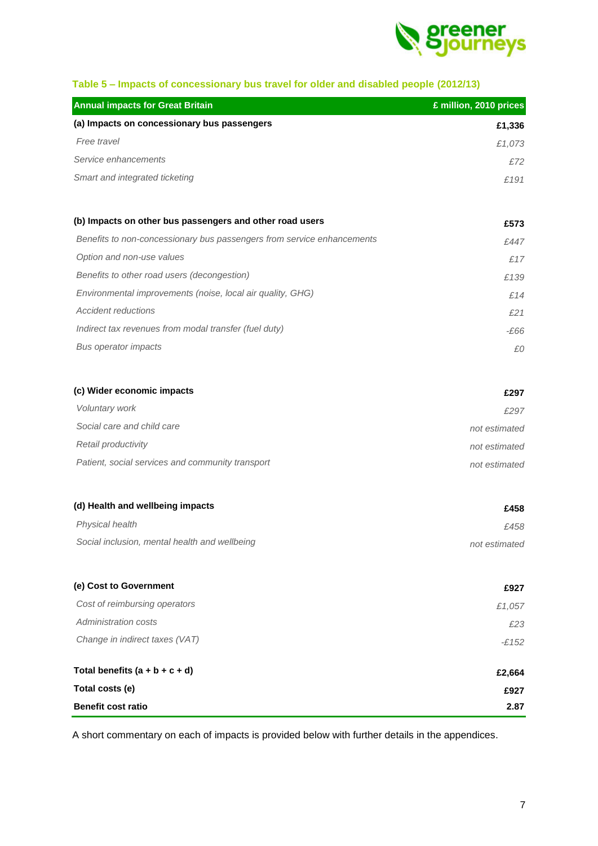

#### **Table 5 – Impacts of concessionary bus travel for older and disabled people (2012/13)**

| <b>Annual impacts for Great Britain</b>                                | £ million, 2010 prices |
|------------------------------------------------------------------------|------------------------|
| (a) Impacts on concessionary bus passengers                            | £1,336                 |
| Free travel                                                            | £1,073                 |
| Service enhancements                                                   | £72                    |
| Smart and integrated ticketing                                         | £191                   |
| (b) Impacts on other bus passengers and other road users               | £573                   |
| Benefits to non-concessionary bus passengers from service enhancements | £447                   |
| Option and non-use values                                              | £17                    |
| Benefits to other road users (decongestion)                            | £139                   |
| Environmental improvements (noise, local air quality, GHG)             | £14                    |
| <b>Accident reductions</b>                                             | £21                    |
| Indirect tax revenues from modal transfer (fuel duty)                  | $-E66$                 |
| <b>Bus operator impacts</b>                                            | £0                     |
| (c) Wider economic impacts                                             | £297                   |
| Voluntary work                                                         | £297                   |
| Social care and child care                                             | not estimated          |
| Retail productivity                                                    | not estimated          |
| Patient, social services and community transport                       | not estimated          |

| (d) Health and wellbeing impacts              | £458          |
|-----------------------------------------------|---------------|
| <b>Physical health</b>                        | £458          |
| Social inclusion, mental health and wellbeing | not estimated |

| (e) Cost to Government           | £927    |
|----------------------------------|---------|
| Cost of reimbursing operators    | £1,057  |
| Administration costs             | £23     |
| Change in indirect taxes (VAT)   | $-E152$ |
| Total benefits $(a + b + c + d)$ | £2,664  |
| Total costs (e)                  | £927    |
| <b>Benefit cost ratio</b>        | 2.87    |

A short commentary on each of impacts is provided below with further details in the appendices.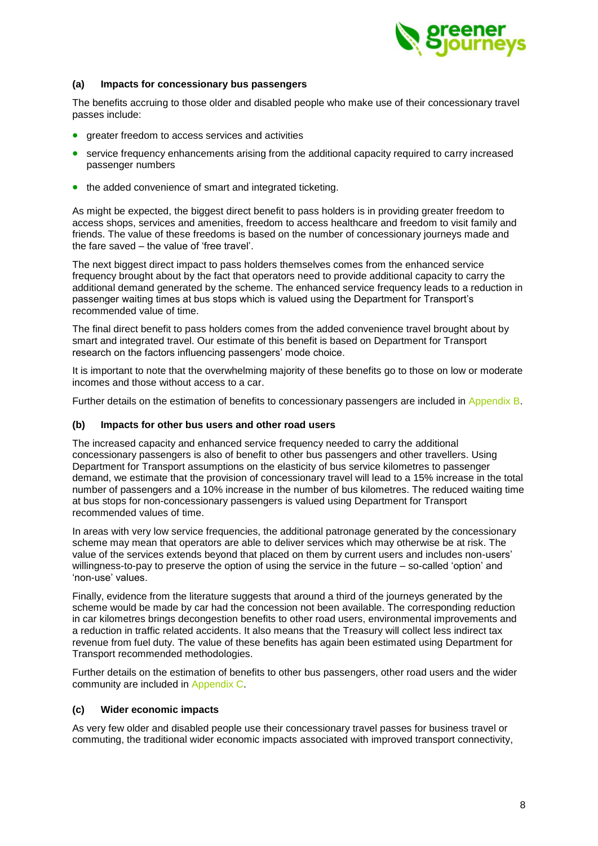

#### **(a) Impacts for concessionary bus passengers**

The benefits accruing to those older and disabled people who make use of their concessionary travel passes include:

- **•** greater freedom to access services and activities
- service frequency enhancements arising from the additional capacity required to carry increased passenger numbers
- the added convenience of smart and integrated ticketing.

As might be expected, the biggest direct benefit to pass holders is in providing greater freedom to access shops, services and amenities, freedom to access healthcare and freedom to visit family and friends. The value of these freedoms is based on the number of concessionary journeys made and the fare saved – the value of 'free travel'.

The next biggest direct impact to pass holders themselves comes from the enhanced service frequency brought about by the fact that operators need to provide additional capacity to carry the additional demand generated by the scheme. The enhanced service frequency leads to a reduction in passenger waiting times at bus stops which is valued using the Department for Transport's recommended value of time.

The final direct benefit to pass holders comes from the added convenience travel brought about by smart and integrated travel. Our estimate of this benefit is based on Department for Transport research on the factors influencing passengers' mode choice.

It is important to note that the overwhelming majority of these benefits go to those on low or moderate incomes and those without access to a car.

Further details on the estimation of benefits to concessionary passengers are included in Appendix B.

#### **(b) Impacts for other bus users and other road users**

The increased capacity and enhanced service frequency needed to carry the additional concessionary passengers is also of benefit to other bus passengers and other travellers. Using Department for Transport assumptions on the elasticity of bus service kilometres to passenger demand, we estimate that the provision of concessionary travel will lead to a 15% increase in the total number of passengers and a 10% increase in the number of bus kilometres. The reduced waiting time at bus stops for non-concessionary passengers is valued using Department for Transport recommended values of time.

In areas with very low service frequencies, the additional patronage generated by the concessionary scheme may mean that operators are able to deliver services which may otherwise be at risk. The value of the services extends beyond that placed on them by current users and includes non-users' willingness-to-pay to preserve the option of using the service in the future – so-called 'option' and 'non-use' values.

Finally, evidence from the literature suggests that around a third of the journeys generated by the scheme would be made by car had the concession not been available. The corresponding reduction in car kilometres brings decongestion benefits to other road users, environmental improvements and a reduction in traffic related accidents. It also means that the Treasury will collect less indirect tax revenue from fuel duty. The value of these benefits has again been estimated using Department for Transport recommended methodologies.

Further details on the estimation of benefits to other bus passengers, other road users and the wider community are included in Appendix C.

#### **(c) Wider economic impacts**

As very few older and disabled people use their concessionary travel passes for business travel or commuting, the traditional wider economic impacts associated with improved transport connectivity,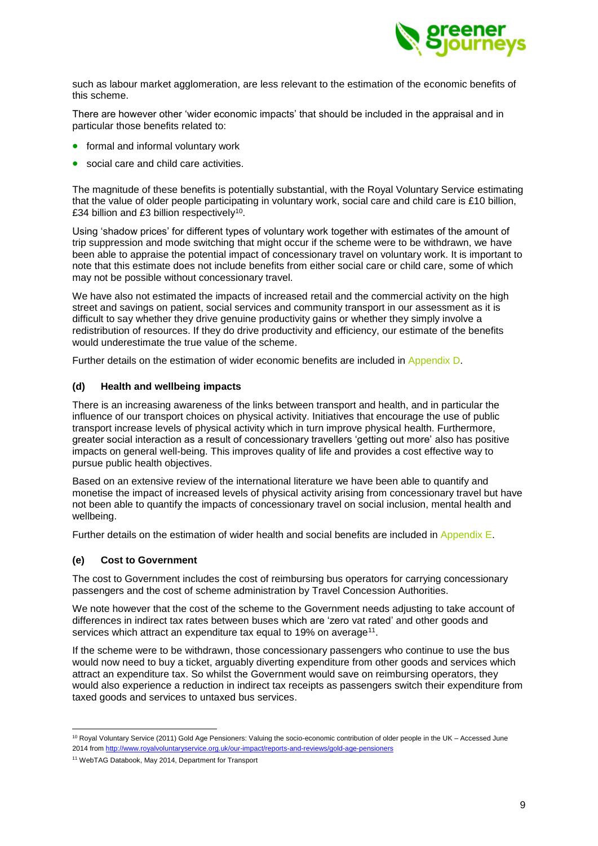

such as labour market agglomeration, are less relevant to the estimation of the economic benefits of this scheme.

There are however other 'wider economic impacts' that should be included in the appraisal and in particular those benefits related to:

- **•** formal and informal voluntary work
- social care and child care activities.

The magnitude of these benefits is potentially substantial, with the Royal Voluntary Service estimating that the value of older people participating in voluntary work, social care and child care is £10 billion, £34 billion and £3 billion respectively<sup>10</sup>.

Using 'shadow prices' for different types of voluntary work together with estimates of the amount of trip suppression and mode switching that might occur if the scheme were to be withdrawn, we have been able to appraise the potential impact of concessionary travel on voluntary work. It is important to note that this estimate does not include benefits from either social care or child care, some of which may not be possible without concessionary travel.

We have also not estimated the impacts of increased retail and the commercial activity on the high street and savings on patient, social services and community transport in our assessment as it is difficult to say whether they drive genuine productivity gains or whether they simply involve a redistribution of resources. If they do drive productivity and efficiency, our estimate of the benefits would underestimate the true value of the scheme.

Further details on the estimation of wider economic benefits are included in Appendix D.

#### **(d) Health and wellbeing impacts**

There is an increasing awareness of the links between transport and health, and in particular the influence of our transport choices on physical activity. Initiatives that encourage the use of public transport increase levels of physical activity which in turn improve physical health. Furthermore, greater social interaction as a result of concessionary travellers 'getting out more' also has positive impacts on general well-being. This improves quality of life and provides a cost effective way to pursue public health objectives.

Based on an extensive review of the international literature we have been able to quantify and monetise the impact of increased levels of physical activity arising from concessionary travel but have not been able to quantify the impacts of concessionary travel on social inclusion, mental health and wellbeing.

Further details on the estimation of wider health and social benefits are included in Appendix E.

#### **(e) Cost to Government**

The cost to Government includes the cost of reimbursing bus operators for carrying concessionary passengers and the cost of scheme administration by Travel Concession Authorities.

We note however that the cost of the scheme to the Government needs adjusting to take account of differences in indirect tax rates between buses which are 'zero vat rated' and other goods and services which attract an expenditure tax equal to 19% on average<sup>11</sup>.

If the scheme were to be withdrawn, those concessionary passengers who continue to use the bus would now need to buy a ticket, arguably diverting expenditure from other goods and services which attract an expenditure tax. So whilst the Government would save on reimbursing operators, they would also experience a reduction in indirect tax receipts as passengers switch their expenditure from taxed goods and services to untaxed bus services.

**<sup>.</sup>** <sup>10</sup> Royal Voluntary Service (2011) Gold Age Pensioners: Valuing the socio-economic contribution of older people in the UK – Accessed June 2014 fro[m http://www.royalvoluntaryservice.org.uk/our-impact/reports-and-reviews/gold-age-pensioners](http://www.royalvoluntaryservice.org.uk/our-impact/reports-and-reviews/gold-age-pensioners)

<sup>11</sup> WebTAG Databook, May 2014, Department for Transport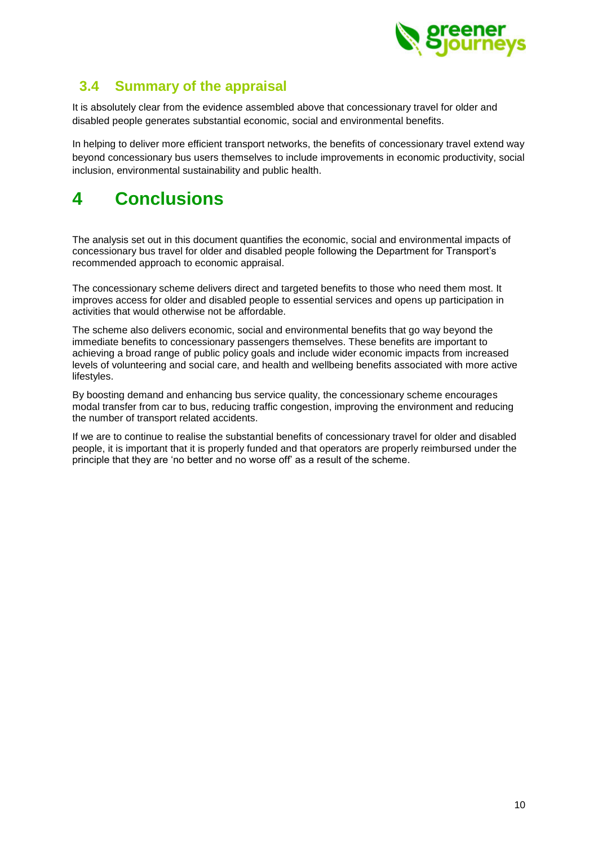

## **3.4 Summary of the appraisal**

It is absolutely clear from the evidence assembled above that concessionary travel for older and disabled people generates substantial economic, social and environmental benefits.

In helping to deliver more efficient transport networks, the benefits of concessionary travel extend way beyond concessionary bus users themselves to include improvements in economic productivity, social inclusion, environmental sustainability and public health.

# **4 Conclusions**

The analysis set out in this document quantifies the economic, social and environmental impacts of concessionary bus travel for older and disabled people following the Department for Transport's recommended approach to economic appraisal.

The concessionary scheme delivers direct and targeted benefits to those who need them most. It improves access for older and disabled people to essential services and opens up participation in activities that would otherwise not be affordable.

The scheme also delivers economic, social and environmental benefits that go way beyond the immediate benefits to concessionary passengers themselves. These benefits are important to achieving a broad range of public policy goals and include wider economic impacts from increased levels of volunteering and social care, and health and wellbeing benefits associated with more active lifestyles.

By boosting demand and enhancing bus service quality, the concessionary scheme encourages modal transfer from car to bus, reducing traffic congestion, improving the environment and reducing the number of transport related accidents.

If we are to continue to realise the substantial benefits of concessionary travel for older and disabled people, it is important that it is properly funded and that operators are properly reimbursed under the principle that they are 'no better and no worse off' as a result of the scheme.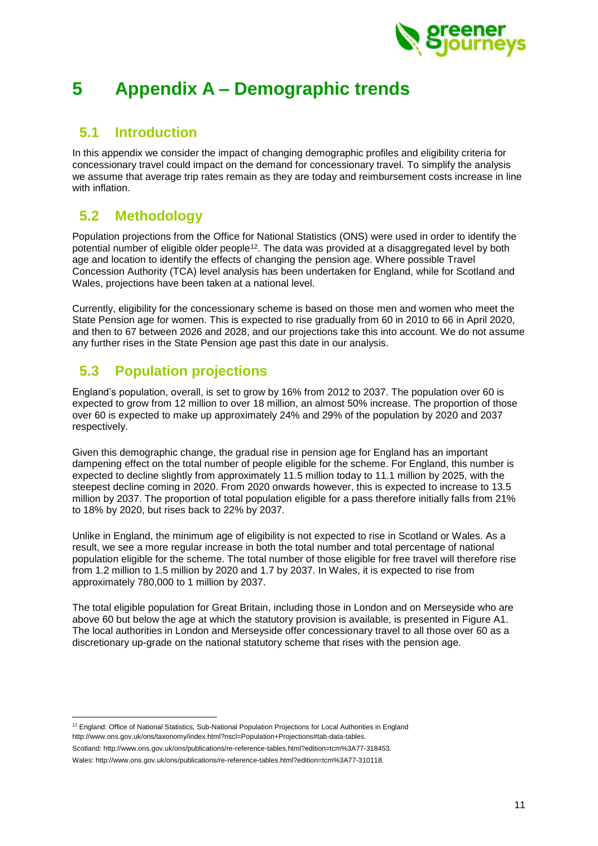

# **5 Appendix A – Demographic trends**

# **5.1 Introduction**

In this appendix we consider the impact of changing demographic profiles and eligibility criteria for concessionary travel could impact on the demand for concessionary travel. To simplify the analysis we assume that average trip rates remain as they are today and reimbursement costs increase in line with inflation.

# **5.2 Methodology**

Population projections from the Office for National Statistics (ONS) were used in order to identify the potential number of eligible older people<sup>12</sup>. The data was provided at a disaggregated level by both age and location to identify the effects of changing the pension age. Where possible Travel Concession Authority (TCA) level analysis has been undertaken for England, while for Scotland and Wales, projections have been taken at a national level.

Currently, eligibility for the concessionary scheme is based on those men and women who meet the State Pension age for women. This is expected to rise gradually from 60 in 2010 to 66 in April 2020, and then to 67 between 2026 and 2028, and our projections take this into account. We do not assume any further rises in the State Pension age past this date in our analysis.

# **5.3 Population projections**

England's population, overall, is set to grow by 16% from 2012 to 2037. The population over 60 is expected to grow from 12 million to over 18 million, an almost 50% increase. The proportion of those over 60 is expected to make up approximately 24% and 29% of the population by 2020 and 2037 respectively.

Given this demographic change, the gradual rise in pension age for England has an important dampening effect on the total number of people eligible for the scheme. For England, this number is expected to decline slightly from approximately 11.5 million today to 11.1 million by 2025, with the steepest decline coming in 2020. From 2020 onwards however, this is expected to increase to 13.5 million by 2037. The proportion of total population eligible for a pass therefore initially falls from 21% to 18% by 2020, but rises back to 22% by 2037.

Unlike in England, the minimum age of eligibility is not expected to rise in Scotland or Wales. As a result, we see a more regular increase in both the total number and total percentage of national population eligible for the scheme. The total number of those eligible for free travel will therefore rise from 1.2 million to 1.5 million by 2020 and 1.7 by 2037. In Wales, it is expected to rise from approximately 780,000 to 1 million by 2037.

The total eligible population for Great Britain, including those in London and on Merseyside who are above 60 but below the age at which the statutory provision is available, is presented in Figure A1. The local authorities in London and Merseyside offer concessionary travel to all those over 60 as a discretionary up-grade on the national statutory scheme that rises with the pension age.

<sup>1</sup> <sup>12</sup> England: Office of National Statistics, Sub-National Population Projections for Local Authorities in England http://www.ons.gov.uk/ons/taxonomy/index.html?nscl=Population+Projections#tab-data-tables.

Scotland: http://www.ons.gov.uk/ons/publications/re-reference-tables.html?edition=tcm%3A77-318453.

Wales: http://www.ons.gov.uk/ons/publications/re-reference-tables.html?edition=tcm%3A77-310118.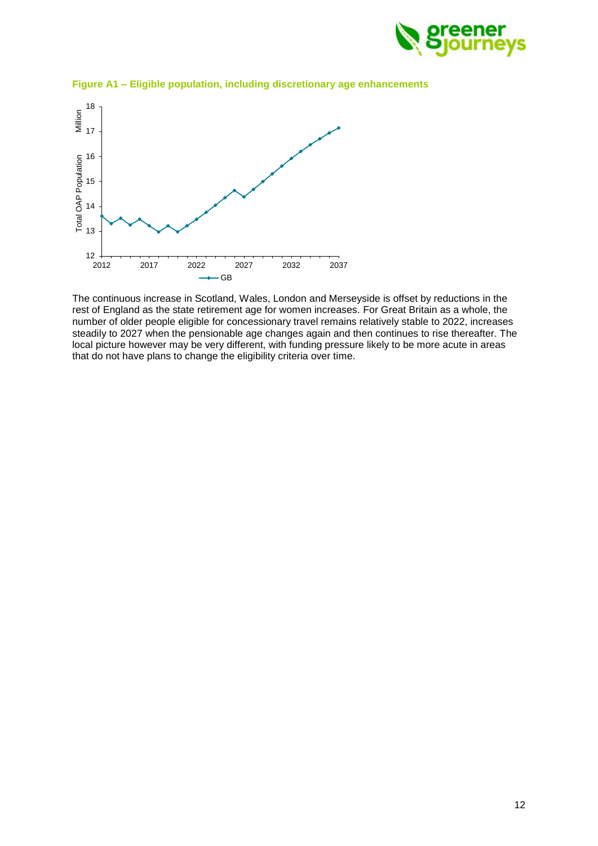



**Figure A1 – Eligible population, including discretionary age enhancements**

The continuous increase in Scotland, Wales, London and Merseyside is offset by reductions in the rest of England as the state retirement age for women increases. For Great Britain as a whole, the number of older people eligible for concessionary travel remains relatively stable to 2022, increases steadily to 2027 when the pensionable age changes again and then continues to rise thereafter. The local picture however may be very different, with funding pressure likely to be more acute in areas that do not have plans to change the eligibility criteria over time.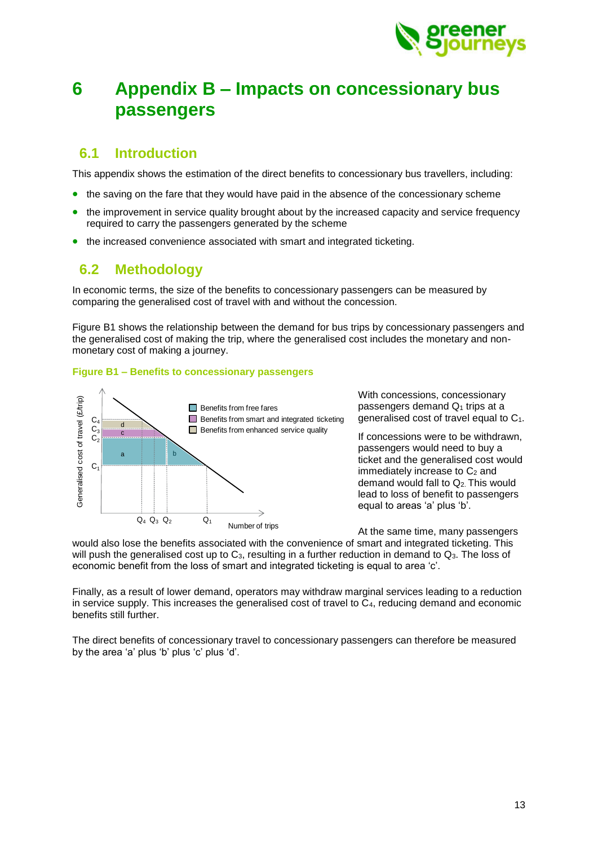

# **6 Appendix B – Impacts on concessionary bus passengers**

### **6.1 Introduction**

This appendix shows the estimation of the direct benefits to concessionary bus travellers, including:

- the saving on the fare that they would have paid in the absence of the concessionary scheme
- the improvement in service quality brought about by the increased capacity and service frequency required to carry the passengers generated by the scheme
- the increased convenience associated with smart and integrated ticketing.

## **6.2 Methodology**

In economic terms, the size of the benefits to concessionary passengers can be measured by comparing the generalised cost of travel with and without the concession.

Figure B1 shows the relationship between the demand for bus trips by concessionary passengers and the generalised cost of making the trip, where the generalised cost includes the monetary and nonmonetary cost of making a journey.

#### **Figure B1 – Benefits to concessionary passengers**



With concessions, concessionary passengers demand  $Q_1$  trips at a generalised cost of travel equal to  $C_1$ .

If concessions were to be withdrawn, passengers would need to buy a ticket and the generalised cost would immediately increase to  $C_2$  and demand would fall to Q2. This would lead to loss of benefit to passengers equal to areas 'a' plus 'b'.

At the same time, many passengers

would also lose the benefits associated with the convenience of smart and integrated ticketing. This will push the generalised cost up to  $C_3$ , resulting in a further reduction in demand to  $Q_3$ . The loss of economic benefit from the loss of smart and integrated ticketing is equal to area 'c'.

Finally, as a result of lower demand, operators may withdraw marginal services leading to a reduction in service supply. This increases the generalised cost of travel to C4, reducing demand and economic benefits still further.

The direct benefits of concessionary travel to concessionary passengers can therefore be measured by the area 'a' plus 'b' plus 'c' plus 'd'.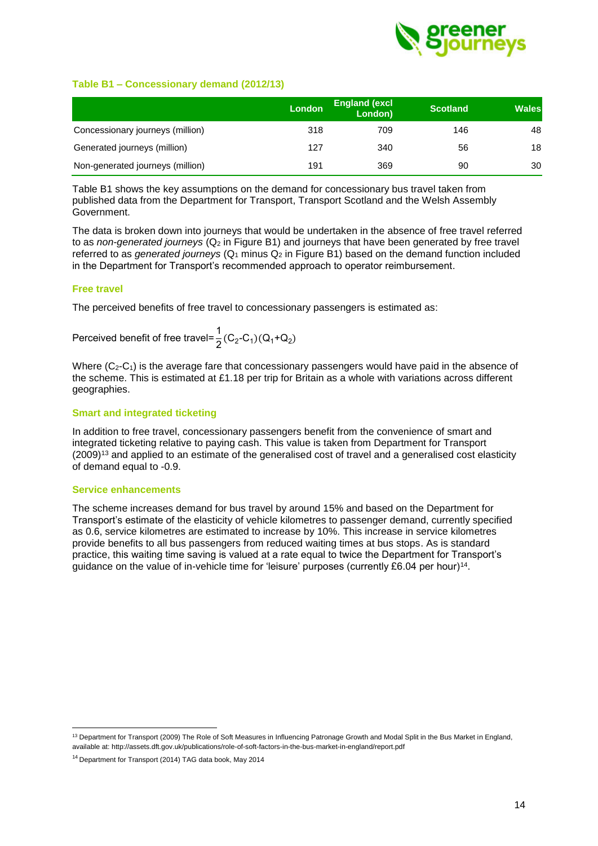

#### **Table B1 – Concessionary demand (2012/13)**

|                                  | <b>London</b> | <b>England (excl</b><br>London) | <b>Scotland</b> | <b>Wales</b> |
|----------------------------------|---------------|---------------------------------|-----------------|--------------|
| Concessionary journeys (million) | 318           | 709                             | 146             | 48           |
| Generated journeys (million)     | 127           | 340                             | 56              | 18           |
| Non-generated journeys (million) | 191           | 369                             | 90              | 30           |

Table B1 shows the key assumptions on the demand for concessionary bus travel taken from published data from the Department for Transport, Transport Scotland and the Welsh Assembly Government.

The data is broken down into journeys that would be undertaken in the absence of free travel referred to as *non-generated journeys* (Q<sub>2</sub> in Figure B1) and journeys that have been generated by free travel referred to as *generated journeys*  $(Q_1 \text{ minus } Q_2 \text{ in Figure B1})$  based on the demand function included in the Department for Transport's recommended approach to operator reimbursement.

#### **Free travel**

The perceived benefits of free travel to concessionary passengers is estimated as:

Perceived benefit of free travel=  $\frac{1}{2}$  $\frac{1}{2}$ (C<sub>2</sub>-C<sub>1</sub>)(Q<sub>1</sub>+Q<sub>2</sub>)

Where  $(C_2-C_1)$  is the average fare that concessionary passengers would have paid in the absence of the scheme. This is estimated at £1.18 per trip for Britain as a whole with variations across different geographies.

#### **Smart and integrated ticketing**

In addition to free travel, concessionary passengers benefit from the convenience of smart and integrated ticketing relative to paying cash. This value is taken from Department for Transport  $(2009)^{13}$  and applied to an estimate of the generalised cost of travel and a generalised cost elasticity of demand equal to -0.9.

#### **Service enhancements**

The scheme increases demand for bus travel by around 15% and based on the Department for Transport's estimate of the elasticity of vehicle kilometres to passenger demand, currently specified as 0.6, service kilometres are estimated to increase by 10%. This increase in service kilometres provide benefits to all bus passengers from reduced waiting times at bus stops. As is standard practice, this waiting time saving is valued at a rate equal to twice the Department for Transport's guidance on the value of in-vehicle time for 'leisure' purposes (currently £6.04 per hour)<sup>14</sup>.

**<sup>.</sup>** <sup>13</sup> Department for Transport (2009) The Role of Soft Measures in Influencing Patronage Growth and Modal Split in the Bus Market in England, available at: http://assets.dft.gov.uk/publications/role-of-soft-factors-in-the-bus-market-in-england/report.pdf

<sup>14</sup> Department for Transport (2014) TAG data book, May 2014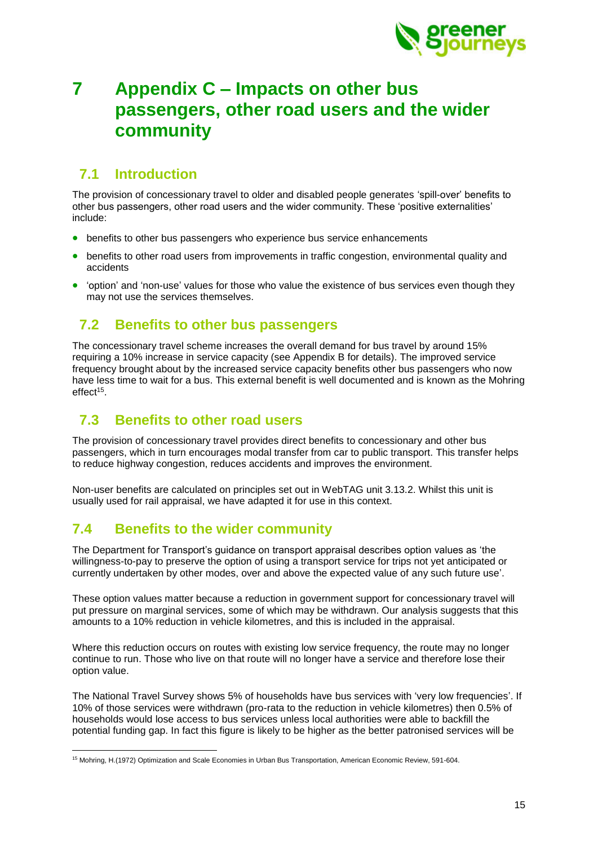

# **7 Appendix C – Impacts on other bus passengers, other road users and the wider community**

## **7.1 Introduction**

The provision of concessionary travel to older and disabled people generates 'spill-over' benefits to other bus passengers, other road users and the wider community. These 'positive externalities' include:

- benefits to other bus passengers who experience bus service enhancements
- benefits to other road users from improvements in traffic congestion, environmental quality and accidents
- 'option' and 'non-use' values for those who value the existence of bus services even though they may not use the services themselves.

## **7.2 Benefits to other bus passengers**

The concessionary travel scheme increases the overall demand for bus travel by around 15% requiring a 10% increase in service capacity (see Appendix B for details). The improved service frequency brought about by the increased service capacity benefits other bus passengers who now have less time to wait for a bus. This external benefit is well documented and is known as the Mohring effect<sup>15</sup>.

### **7.3 Benefits to other road users**

The provision of concessionary travel provides direct benefits to concessionary and other bus passengers, which in turn encourages modal transfer from car to public transport. This transfer helps to reduce highway congestion, reduces accidents and improves the environment.

Non-user benefits are calculated on principles set out in WebTAG unit 3.13.2. Whilst this unit is usually used for rail appraisal, we have adapted it for use in this context.

# **7.4 Benefits to the wider community**

The Department for Transport's guidance on transport appraisal describes option values as 'the willingness-to-pay to preserve the option of using a transport service for trips not yet anticipated or currently undertaken by other modes, over and above the expected value of any such future use'.

These option values matter because a reduction in government support for concessionary travel will put pressure on marginal services, some of which may be withdrawn. Our analysis suggests that this amounts to a 10% reduction in vehicle kilometres, and this is included in the appraisal.

Where this reduction occurs on routes with existing low service frequency, the route may no longer continue to run. Those who live on that route will no longer have a service and therefore lose their option value.

The National Travel Survey shows 5% of households have bus services with 'very low frequencies'. If 10% of those services were withdrawn (pro-rata to the reduction in vehicle kilometres) then 0.5% of households would lose access to bus services unless local authorities were able to backfill the potential funding gap. In fact this figure is likely to be higher as the better patronised services will be

<sup>1</sup> <sup>15</sup> Mohring, H.(1972) Optimization and Scale Economies in Urban Bus Transportation, American Economic Review, 591-604.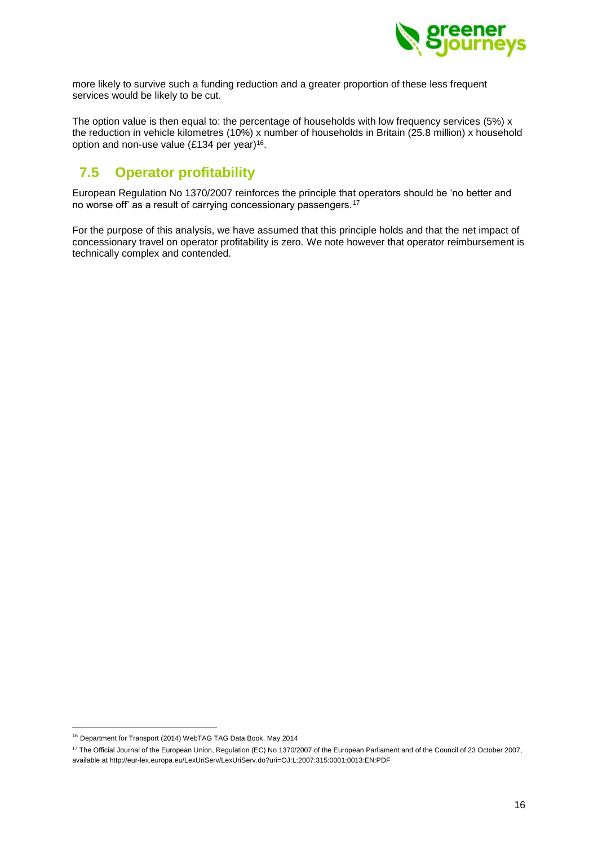

more likely to survive such a funding reduction and a greater proportion of these less frequent services would be likely to be cut.

The option value is then equal to: the percentage of households with low frequency services (5%) x the reduction in vehicle kilometres (10%) x number of households in Britain (25.8 million) x household option and non-use value (£134 per year)<sup>16</sup>.

# **7.5 Operator profitability**

European Regulation No 1370/2007 reinforces the principle that operators should be 'no better and no worse off' as a result of carrying concessionary passengers.<sup>17</sup>

For the purpose of this analysis, we have assumed that this principle holds and that the net impact of concessionary travel on operator profitability is zero. We note however that operator reimbursement is technically complex and contended.

**<sup>.</sup>** <sup>16</sup> Department for Transport (2014) WebTAG TAG Data Book, May 2014

<sup>&</sup>lt;sup>17</sup> The Official Journal of the European Union, Regulation (EC) No 1370/2007 of the European Parliament and of the Council of 23 October 2007, available at http://eur-lex.europa.eu/LexUriServ/LexUriServ.do?uri=OJ:L:2007:315:0001:0013:EN:PDF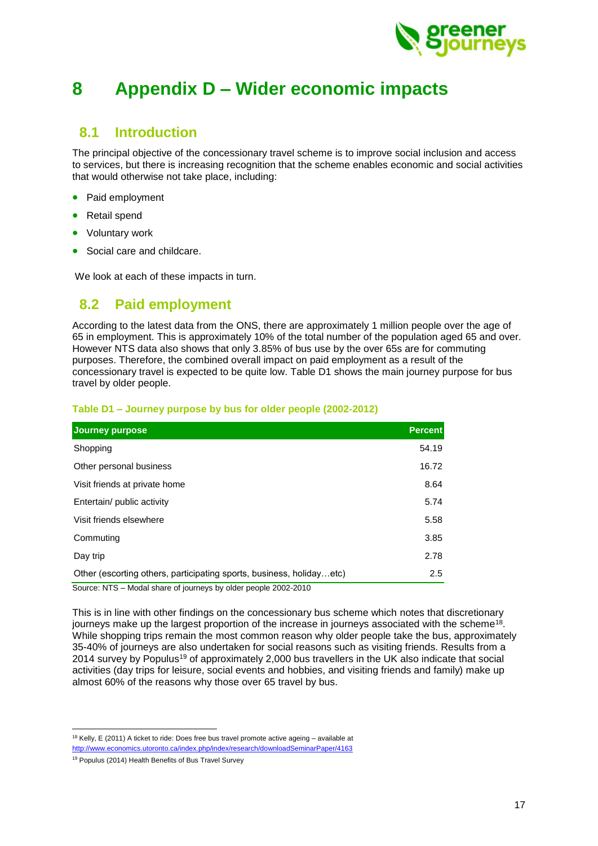

# **8 Appendix D – Wider economic impacts**

### **8.1 Introduction**

The principal objective of the concessionary travel scheme is to improve social inclusion and access to services, but there is increasing recognition that the scheme enables economic and social activities that would otherwise not take place, including:

- Paid employment
- Retail spend
- Voluntary work
- Social care and childcare.

We look at each of these impacts in turn.

## **8.2 Paid employment**

According to the latest data from the ONS, there are approximately 1 million people over the age of 65 in employment. This is approximately 10% of the total number of the population aged 65 and over. However NTS data also shows that only 3.85% of bus use by the over 65s are for commuting purposes. Therefore, the combined overall impact on paid employment as a result of the concessionary travel is expected to be quite low. Table D1 shows the main journey purpose for bus travel by older people.

| <b>Journey purpose</b>                                               | <b>Percent</b> |
|----------------------------------------------------------------------|----------------|
| Shopping                                                             | 54.19          |
| Other personal business                                              | 16.72          |
| Visit friends at private home                                        | 8.64           |
| Entertain/ public activity                                           | 5.74           |
| Visit friends elsewhere                                              | 5.58           |
| Commuting                                                            | 3.85           |
| Day trip                                                             | 2.78           |
| Other (escorting others, participating sports, business, holidayetc) | 2.5            |
| Source: NTS – Modal share of journeys by older people 2002-2010      |                |

#### **Table D1 – Journey purpose by bus for older people (2002-2012)**

This is in line with other findings on the concessionary bus scheme which notes that discretionary journeys make up the largest proportion of the increase in journeys associated with the scheme<sup>18</sup>. While shopping trips remain the most common reason why older people take the bus, approximately 35-40% of journeys are also undertaken for social reasons such as visiting friends. Results from a 2014 survey by Populus<sup>19</sup> of approximately 2,000 bus travellers in the UK also indicate that social activities (day trips for leisure, social events and hobbies, and visiting friends and family) make up almost 60% of the reasons why those over 65 travel by bus.

**<sup>.</sup>**  $18$  Kelly, E (2011) A ticket to ride: Does free bus travel promote active ageing – available at <http://www.economics.utoronto.ca/index.php/index/research/downloadSeminarPaper/4163>

<sup>19</sup> Populus (2014) Health Benefits of Bus Travel Survey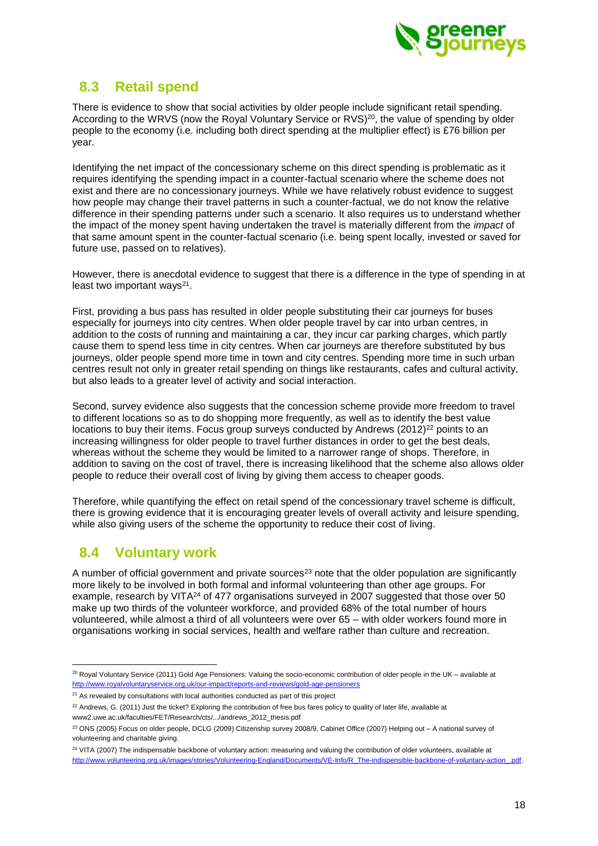

# **8.3 Retail spend**

There is evidence to show that social activities by older people include significant retail spending. According to the WRVS (now the Royal Voluntary Service or RVS)<sup>20</sup>, the value of spending by older people to the economy (i.e. including both direct spending at the multiplier effect) is £76 billion per year.

Identifying the net impact of the concessionary scheme on this direct spending is problematic as it requires identifying the spending impact in a counter-factual scenario where the scheme does not exist and there are no concessionary journeys. While we have relatively robust evidence to suggest how people may change their travel patterns in such a counter-factual, we do not know the relative difference in their spending patterns under such a scenario. It also requires us to understand whether the impact of the money spent having undertaken the travel is materially different from the *impact* of that same amount spent in the counter-factual scenario (i.e. being spent locally, invested or saved for future use, passed on to relatives).

However, there is anecdotal evidence to suggest that there is a difference in the type of spending in at least two important ways<sup>21</sup>.

First, providing a bus pass has resulted in older people substituting their car journeys for buses especially for journeys into city centres. When older people travel by car into urban centres, in addition to the costs of running and maintaining a car, they incur car parking charges, which partly cause them to spend less time in city centres. When car journeys are therefore substituted by bus journeys, older people spend more time in town and city centres. Spending more time in such urban centres result not only in greater retail spending on things like restaurants, cafes and cultural activity, but also leads to a greater level of activity and social interaction.

Second, survey evidence also suggests that the concession scheme provide more freedom to travel to different locations so as to do shopping more frequently, as well as to identify the best value locations to buy their items. Focus group surveys conducted by Andrews  $(2012)^{22}$  points to an increasing willingness for older people to travel further distances in order to get the best deals, whereas without the scheme they would be limited to a narrower range of shops. Therefore, in addition to saving on the cost of travel, there is increasing likelihood that the scheme also allows older people to reduce their overall cost of living by giving them access to cheaper goods.

Therefore, while quantifying the effect on retail spend of the concessionary travel scheme is difficult, there is growing evidence that it is encouraging greater levels of overall activity and leisure spending, while also giving users of the scheme the opportunity to reduce their cost of living.

## **8.4 Voluntary work**

A number of official government and private sources<sup>23</sup> note that the older population are significantly more likely to be involved in both formal and informal volunteering than other age groups. For example, research by VITA<sup>24</sup> of 477 organisations surveyed in 2007 suggested that those over 50 make up two thirds of the volunteer workforce, and provided 68% of the total number of hours volunteered, while almost a third of all volunteers were over 65 – with older workers found more in organisations working in social services, health and welfare rather than culture and recreation.

**<sup>.</sup>** <sup>20</sup> Royal Voluntary Service (2011) Gold Age Pensioners: Valuing the socio-economic contribution of older people in the UK – available at <http://www.royalvoluntaryservice.org.uk/our-impact/reports-and-reviews/gold-age-pensioners>

<sup>&</sup>lt;sup>21</sup> As revealed by consultations with local authorities conducted as part of this project

 $22$  Andrews, G. (2011) Just the ticket? Exploring the contribution of free bus fares policy to quality of later life, available at www2.uwe.ac.uk/faculties/FET/Research/cts/.../andrews\_2012\_thesis.pdf

<sup>&</sup>lt;sup>23</sup> ONS (2005) Focus on older people, DCLG (2009) Citizenship survey 2008/9, Cabinet Office (2007) Helping out – A national survey of volunteering and charitable giving.

<sup>&</sup>lt;sup>24</sup> VITA (2007) The indispensable backbone of voluntary action: measuring and valuing the contribution of older volunteers, available at [http://www.volunteering.org.uk/images/stories/Volunteering-England/Documents/VE-Info/R\\_The-indispensible-backbone-of-voluntary-action\\_.pdf.](http://www.volunteering.org.uk/images/stories/Volunteering-England/Documents/VE-Info/R_The-indispensible-backbone-of-voluntary-action_.pdf)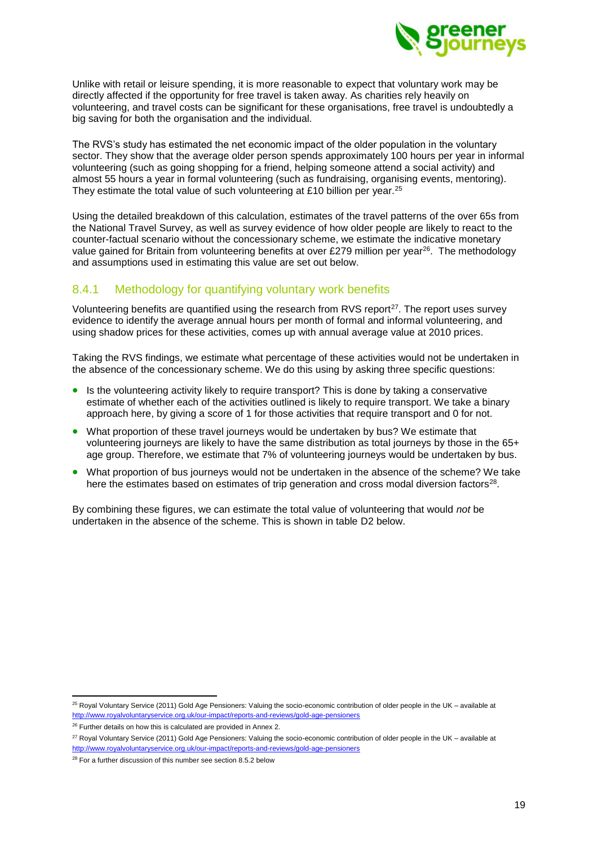

Unlike with retail or leisure spending, it is more reasonable to expect that voluntary work may be directly affected if the opportunity for free travel is taken away. As charities rely heavily on volunteering, and travel costs can be significant for these organisations, free travel is undoubtedly a big saving for both the organisation and the individual.

The RVS's study has estimated the net economic impact of the older population in the voluntary sector. They show that the average older person spends approximately 100 hours per year in informal volunteering (such as going shopping for a friend, helping someone attend a social activity) and almost 55 hours a year in formal volunteering (such as fundraising, organising events, mentoring). They estimate the total value of such volunteering at £10 billion per year.<sup>25</sup>

Using the detailed breakdown of this calculation, estimates of the travel patterns of the over 65s from the National Travel Survey, as well as survey evidence of how older people are likely to react to the counter-factual scenario without the concessionary scheme, we estimate the indicative monetary value gained for Britain from volunteering benefits at over £279 million per year<sup>26</sup>. The methodology and assumptions used in estimating this value are set out below.

### 8.4.1 Methodology for quantifying voluntary work benefits

Volunteering benefits are quantified using the research from RVS report<sup>27</sup>. The report uses survey evidence to identify the average annual hours per month of formal and informal volunteering, and using shadow prices for these activities, comes up with annual average value at 2010 prices.

Taking the RVS findings, we estimate what percentage of these activities would not be undertaken in the absence of the concessionary scheme. We do this using by asking three specific questions:

- Is the volunteering activity likely to require transport? This is done by taking a conservative estimate of whether each of the activities outlined is likely to require transport. We take a binary approach here, by giving a score of 1 for those activities that require transport and 0 for not.
- What proportion of these travel journeys would be undertaken by bus? We estimate that volunteering journeys are likely to have the same distribution as total journeys by those in the 65+ age group. Therefore, we estimate that 7% of volunteering journeys would be undertaken by bus.
- What proportion of bus journeys would not be undertaken in the absence of the scheme? We take here the estimates based on estimates of trip generation and cross modal diversion factors<sup>28</sup>.

By combining these figures, we can estimate the total value of volunteering that would *not* be undertaken in the absence of the scheme. This is shown in table D2 below.

**<sup>.</sup>** <sup>25</sup> Royal Voluntary Service (2011) Gold Age Pensioners: Valuing the socio-economic contribution of older people in the UK – available at <http://www.royalvoluntaryservice.org.uk/our-impact/reports-and-reviews/gold-age-pensioners>

<sup>&</sup>lt;sup>26</sup> Further details on how this is calculated are provided in Annex 2.

<sup>27</sup> Royal Voluntary Service (2011) Gold Age Pensioners: Valuing the socio-economic contribution of older people in the UK – available at <http://www.royalvoluntaryservice.org.uk/our-impact/reports-and-reviews/gold-age-pensioners>

<sup>28</sup> For a further discussion of this number see section 8.5.2 below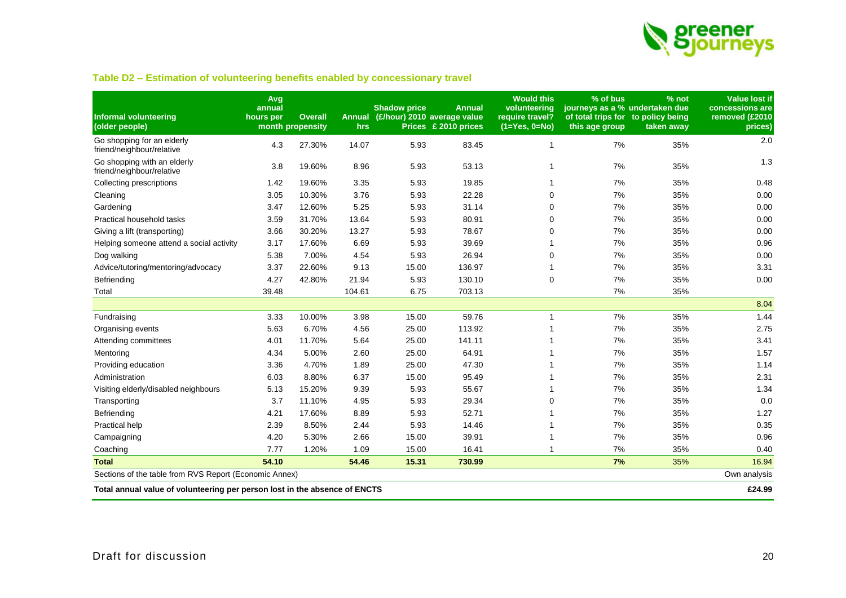

| Informal volunteering<br>(older people)                  | Avg<br>annual<br>hours per                                                           | <b>Overall</b><br>month propensity | <b>Annual</b><br>hrs | <b>Shadow price</b><br>(£/hour) 2010 average value | <b>Annual</b><br>Prices £ 2010 prices | <b>Would this</b><br>volunteering<br>require travel?<br>$(1=Yes, 0=No)$ | % of bus<br>journeys as a % undertaken due<br>this age group | % not<br>of total trips for to policy being<br>taken away | <b>Value lost if</b><br>concessions are<br>removed (£2010<br>prices) |  |
|----------------------------------------------------------|--------------------------------------------------------------------------------------|------------------------------------|----------------------|----------------------------------------------------|---------------------------------------|-------------------------------------------------------------------------|--------------------------------------------------------------|-----------------------------------------------------------|----------------------------------------------------------------------|--|
| Go shopping for an elderly<br>friend/neighbour/relative  | 4.3                                                                                  | 27.30%                             | 14.07                | 5.93                                               | 83.45                                 | 1                                                                       | 7%                                                           | 35%                                                       | 2.0                                                                  |  |
| Go shopping with an elderly<br>friend/neighbour/relative | 3.8                                                                                  | 19.60%                             | 8.96                 | 5.93                                               | 53.13                                 | 1                                                                       | 7%                                                           | 35%                                                       | 1.3                                                                  |  |
| Collecting prescriptions                                 | 1.42                                                                                 | 19.60%                             | 3.35                 | 5.93                                               | 19.85                                 | 1                                                                       | 7%                                                           | 35%                                                       | 0.48                                                                 |  |
| Cleaning                                                 | 3.05                                                                                 | 10.30%                             | 3.76                 | 5.93                                               | 22.28                                 | 0                                                                       | 7%                                                           | 35%                                                       | 0.00                                                                 |  |
| Gardening                                                | 3.47                                                                                 | 12.60%                             | 5.25                 | 5.93                                               | 31.14                                 | 0                                                                       | 7%                                                           | 35%                                                       | 0.00                                                                 |  |
| Practical household tasks                                | 3.59                                                                                 | 31.70%                             | 13.64                | 5.93                                               | 80.91                                 | 0                                                                       | 7%                                                           | 35%                                                       | 0.00                                                                 |  |
| Giving a lift (transporting)                             | 3.66                                                                                 | 30.20%                             | 13.27                | 5.93                                               | 78.67                                 | 0                                                                       | 7%                                                           | 35%                                                       | 0.00                                                                 |  |
| Helping someone attend a social activity                 | 3.17                                                                                 | 17.60%                             | 6.69                 | 5.93                                               | 39.69                                 | 1                                                                       | 7%                                                           | 35%                                                       | 0.96                                                                 |  |
| Dog walking                                              | 5.38                                                                                 | 7.00%                              | 4.54                 | 5.93                                               | 26.94                                 | 0                                                                       | 7%                                                           | 35%                                                       | 0.00                                                                 |  |
| Advice/tutoring/mentoring/advocacy                       | 3.37                                                                                 | 22.60%                             | 9.13                 | 15.00                                              | 136.97                                | 1                                                                       | 7%                                                           | 35%                                                       | 3.31                                                                 |  |
| Befriending                                              | 4.27                                                                                 | 42.80%                             | 21.94                | 5.93                                               | 130.10                                | 0                                                                       | 7%                                                           | 35%                                                       | 0.00                                                                 |  |
| Total                                                    | 39.48                                                                                |                                    | 104.61               | 6.75                                               | 703.13                                |                                                                         | 7%                                                           | 35%                                                       |                                                                      |  |
|                                                          |                                                                                      |                                    |                      |                                                    |                                       |                                                                         |                                                              |                                                           | 8.04                                                                 |  |
| Fundraising                                              | 3.33                                                                                 | 10.00%                             | 3.98                 | 15.00                                              | 59.76                                 | $\mathbf{1}$                                                            | 7%                                                           | 35%                                                       | 1.44                                                                 |  |
| Organising events                                        | 5.63                                                                                 | 6.70%                              | 4.56                 | 25.00                                              | 113.92                                | 1                                                                       | 7%                                                           | 35%                                                       | 2.75                                                                 |  |
| Attending committees                                     | 4.01                                                                                 | 11.70%                             | 5.64                 | 25.00                                              | 141.11                                |                                                                         | 7%                                                           | 35%                                                       | 3.41                                                                 |  |
| Mentoring                                                | 4.34                                                                                 | 5.00%                              | 2.60                 | 25.00                                              | 64.91                                 | 1                                                                       | 7%                                                           | 35%                                                       | 1.57                                                                 |  |
| Providing education                                      | 3.36                                                                                 | 4.70%                              | 1.89                 | 25.00                                              | 47.30                                 |                                                                         | 7%                                                           | 35%                                                       | 1.14                                                                 |  |
| Administration                                           | 6.03                                                                                 | 8.80%                              | 6.37                 | 15.00                                              | 95.49                                 | 1                                                                       | 7%                                                           | 35%                                                       | 2.31                                                                 |  |
| Visiting elderly/disabled neighbours                     | 5.13                                                                                 | 15.20%                             | 9.39                 | 5.93                                               | 55.67                                 | 1                                                                       | 7%                                                           | 35%                                                       | 1.34                                                                 |  |
| Transporting                                             | 3.7                                                                                  | 11.10%                             | 4.95                 | 5.93                                               | 29.34                                 | 0                                                                       | 7%                                                           | 35%                                                       | 0.0                                                                  |  |
| Befriending                                              | 4.21                                                                                 | 17.60%                             | 8.89                 | 5.93                                               | 52.71                                 | 1                                                                       | 7%                                                           | 35%                                                       | 1.27                                                                 |  |
| Practical help                                           | 2.39                                                                                 | 8.50%                              | 2.44                 | 5.93                                               | 14.46                                 | 1                                                                       | 7%                                                           | 35%                                                       | 0.35                                                                 |  |
| Campaigning                                              | 4.20                                                                                 | 5.30%                              | 2.66                 | 15.00                                              | 39.91                                 | 1                                                                       | 7%                                                           | 35%                                                       | 0.96                                                                 |  |
| Coaching                                                 | 7.77                                                                                 | 1.20%                              | 1.09                 | 15.00                                              | 16.41                                 | 1                                                                       | 7%                                                           | 35%                                                       | 0.40                                                                 |  |
| <b>Total</b>                                             | 54.10                                                                                |                                    | 54.46                | 15.31                                              | 730.99                                |                                                                         | 7%                                                           | 35%                                                       | 16.94                                                                |  |
| Sections of the table from RVS Report (Economic Annex)   |                                                                                      |                                    |                      |                                                    |                                       |                                                                         |                                                              |                                                           | Own analysis                                                         |  |
|                                                          | £24.99<br>Total annual value of volunteering per person lost in the absence of ENCTS |                                    |                      |                                                    |                                       |                                                                         |                                                              |                                                           |                                                                      |  |

#### **Table D2 – Estimation of volunteering benefits enabled by concessionary travel**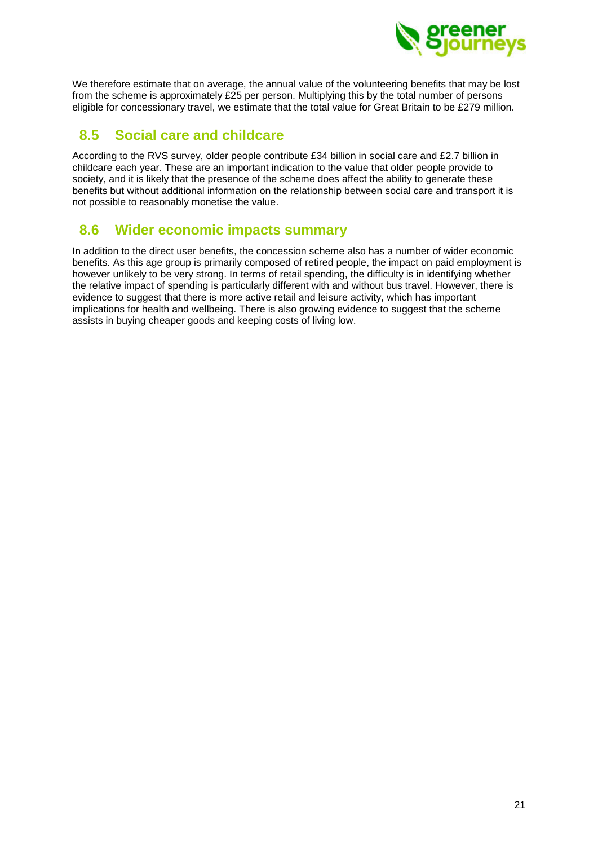

We therefore estimate that on average, the annual value of the volunteering benefits that may be lost from the scheme is approximately £25 per person. Multiplying this by the total number of persons eligible for concessionary travel, we estimate that the total value for Great Britain to be £279 million.

# **8.5 Social care and childcare**

According to the RVS survey, older people contribute £34 billion in social care and £2.7 billion in childcare each year. These are an important indication to the value that older people provide to society, and it is likely that the presence of the scheme does affect the ability to generate these benefits but without additional information on the relationship between social care and transport it is not possible to reasonably monetise the value.

### **8.6 Wider economic impacts summary**

In addition to the direct user benefits, the concession scheme also has a number of wider economic benefits. As this age group is primarily composed of retired people, the impact on paid employment is however unlikely to be very strong. In terms of retail spending, the difficulty is in identifying whether the relative impact of spending is particularly different with and without bus travel. However, there is evidence to suggest that there is more active retail and leisure activity, which has important implications for health and wellbeing. There is also growing evidence to suggest that the scheme assists in buying cheaper goods and keeping costs of living low.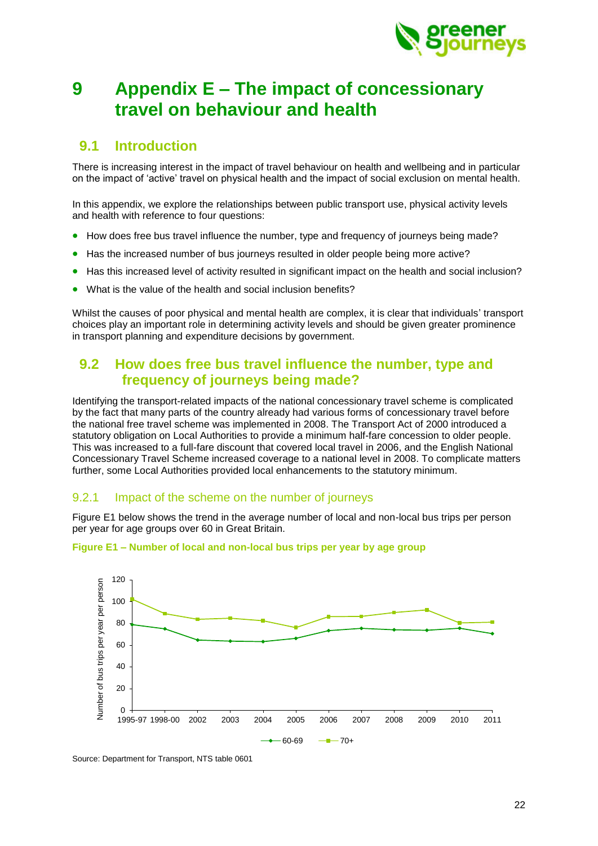

# **9 Appendix E – The impact of concessionary travel on behaviour and health**

### **9.1 Introduction**

There is increasing interest in the impact of travel behaviour on health and wellbeing and in particular on the impact of 'active' travel on physical health and the impact of social exclusion on mental health.

In this appendix, we explore the relationships between public transport use, physical activity levels and health with reference to four questions:

- How does free bus travel influence the number, type and frequency of journeys being made?
- Has the increased number of bus journeys resulted in older people being more active?
- Has this increased level of activity resulted in significant impact on the health and social inclusion?
- What is the value of the health and social inclusion benefits?

Whilst the causes of poor physical and mental health are complex, it is clear that individuals' transport choices play an important role in determining activity levels and should be given greater prominence in transport planning and expenditure decisions by government.

### **9.2 How does free bus travel influence the number, type and frequency of journeys being made?**

Identifying the transport-related impacts of the national concessionary travel scheme is complicated by the fact that many parts of the country already had various forms of concessionary travel before the national free travel scheme was implemented in 2008. The Transport Act of 2000 introduced a statutory obligation on Local Authorities to provide a minimum half-fare concession to older people. This was increased to a full-fare discount that covered local travel in 2006, and the English National Concessionary Travel Scheme increased coverage to a national level in 2008. To complicate matters further, some Local Authorities provided local enhancements to the statutory minimum.

### 9.2.1 Impact of the scheme on the number of journeys

Figure E1 below shows the trend in the average number of local and non-local bus trips per person per year for age groups over 60 in Great Britain.





Source: Department for Transport, NTS table 0601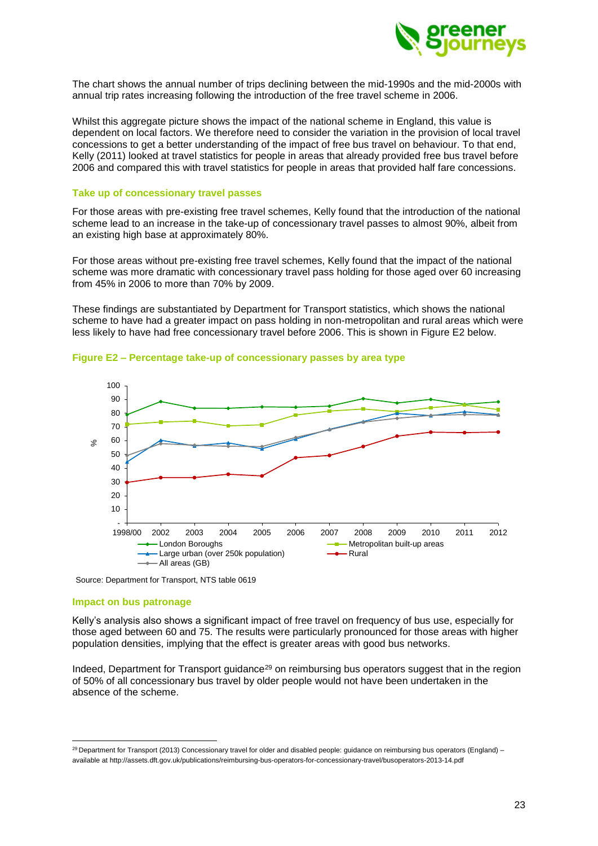

The chart shows the annual number of trips declining between the mid-1990s and the mid-2000s with annual trip rates increasing following the introduction of the free travel scheme in 2006.

Whilst this aggregate picture shows the impact of the national scheme in England, this value is dependent on local factors. We therefore need to consider the variation in the provision of local travel concessions to get a better understanding of the impact of free bus travel on behaviour. To that end, Kelly (2011) looked at travel statistics for people in areas that already provided free bus travel before 2006 and compared this with travel statistics for people in areas that provided half fare concessions.

#### **Take up of concessionary travel passes**

For those areas with pre-existing free travel schemes, Kelly found that the introduction of the national scheme lead to an increase in the take-up of concessionary travel passes to almost 90%, albeit from an existing high base at approximately 80%.

For those areas without pre-existing free travel schemes, Kelly found that the impact of the national scheme was more dramatic with concessionary travel pass holding for those aged over 60 increasing from 45% in 2006 to more than 70% by 2009.

These findings are substantiated by Department for Transport statistics, which shows the national scheme to have had a greater impact on pass holding in non-metropolitan and rural areas which were less likely to have had free concessionary travel before 2006. This is shown in Figure E2 below.



**Figure E2 – Percentage take-up of concessionary passes by area type**

Source: Department for Transport, NTS table 0619

#### **Impact on bus patronage**

**.** 

Kelly's analysis also shows a significant impact of free travel on frequency of bus use, especially for those aged between 60 and 75. The results were particularly pronounced for those areas with higher population densities, implying that the effect is greater areas with good bus networks.

Indeed, Department for Transport guidance<sup>29</sup> on reimbursing bus operators suggest that in the region of 50% of all concessionary bus travel by older people would not have been undertaken in the absence of the scheme.

<sup>&</sup>lt;sup>29</sup> Department for Transport (2013) Concessionary travel for older and disabled people: guidance on reimbursing bus operators (England) – available at http://assets.dft.gov.uk/publications/reimbursing-bus-operators-for-concessionary-travel/busoperators-2013-14.pdf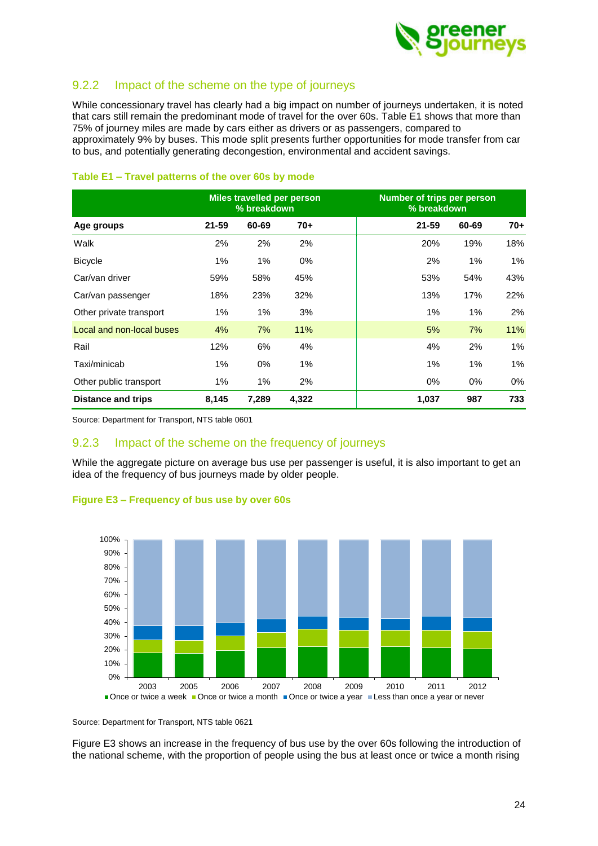

### 9.2.2 Impact of the scheme on the type of journeys

While concessionary travel has clearly had a big impact on number of journeys undertaken, it is noted that cars still remain the predominant mode of travel for the over 60s. Table E1 shows that more than 75% of journey miles are made by cars either as drivers or as passengers, compared to approximately 9% by buses. This mode split presents further opportunities for mode transfer from car to bus, and potentially generating decongestion, environmental and accident savings.

|                           |           | % breakdown | <b>Miles travelled per person</b> | Number of trips per person<br>% breakdown |       |       |  |
|---------------------------|-----------|-------------|-----------------------------------|-------------------------------------------|-------|-------|--|
| Age groups                | $21 - 59$ | 60-69       | $70+$                             | $21 - 59$                                 | 60-69 | $70+$ |  |
| Walk                      | 2%        | 2%          | 2%                                | 20%                                       | 19%   | 18%   |  |
| <b>Bicycle</b>            | $1\%$     | 1%          | 0%                                | 2%                                        | 1%    | 1%    |  |
| Car/van driver            | 59%       | 58%         | 45%                               | 53%                                       | 54%   | 43%   |  |
| Car/van passenger         | 18%       | 23%         | 32%                               | 13%                                       | 17%   | 22%   |  |
| Other private transport   | $1\%$     | 1%          | 3%                                | 1%                                        | $1\%$ | 2%    |  |
| Local and non-local buses | 4%        | 7%          | 11%                               | 5%                                        | 7%    | 11%   |  |
| Rail                      | 12%       | 6%          | 4%                                | 4%                                        | 2%    | 1%    |  |
| Taxi/minicab              | 1%        | 0%          | 1%                                | 1%                                        | 1%    | 1%    |  |
| Other public transport    | 1%        | 1%          | 2%                                | $0\%$                                     | $0\%$ | $0\%$ |  |
| <b>Distance and trips</b> | 8,145     | 7,289       | 4,322                             | 1,037                                     | 987   | 733   |  |

#### **Table E1 – Travel patterns of the over 60s by mode**

Source: Department for Transport, NTS table 0601

#### 9.2.3 Impact of the scheme on the frequency of journeys

While the aggregate picture on average bus use per passenger is useful, it is also important to get an idea of the frequency of bus journeys made by older people.



#### **Figure E3 – Frequency of bus use by over 60s**

Source: Department for Transport, NTS table 0621

Figure E3 shows an increase in the frequency of bus use by the over 60s following the introduction of the national scheme, with the proportion of people using the bus at least once or twice a month rising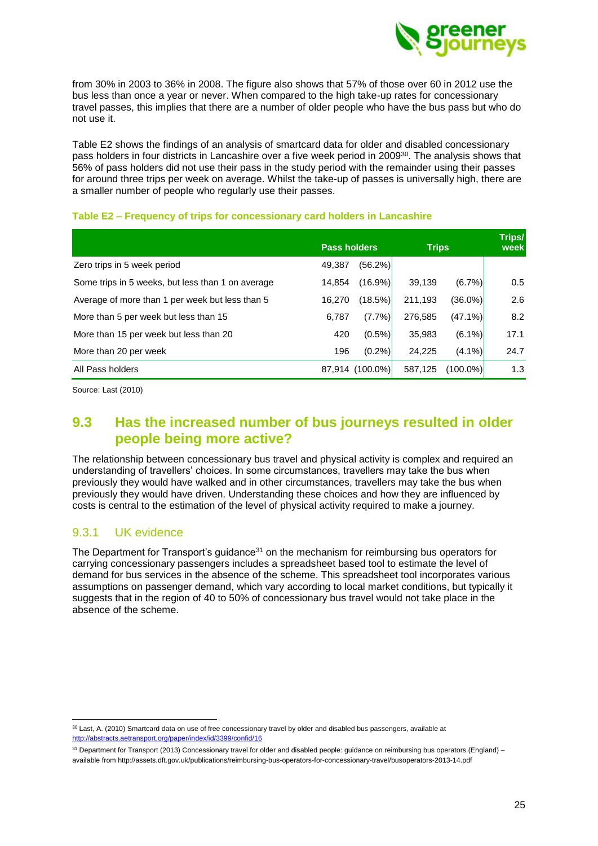

from 30% in 2003 to 36% in 2008. The figure also shows that 57% of those over 60 in 2012 use the bus less than once a year or never. When compared to the high take-up rates for concessionary travel passes, this implies that there are a number of older people who have the bus pass but who do not use it.

Table E2 shows the findings of an analysis of smartcard data for older and disabled concessionary pass holders in four districts in Lancashire over a five week period in 2009<sup>30</sup>. The analysis shows that 56% of pass holders did not use their pass in the study period with the remainder using their passes for around three trips per week on average. Whilst the take-up of passes is universally high, there are a smaller number of people who regularly use their passes.

#### **Table E2 – Frequency of trips for concessionary card holders in Lancashire**

|                                                   | <b>Pass holders</b> |             | <b>Trips</b> |             | <b>Trips/</b><br>week |
|---------------------------------------------------|---------------------|-------------|--------------|-------------|-----------------------|
| Zero trips in 5 week period                       | 49,387              | (56.2%)     |              |             |                       |
| Some trips in 5 weeks, but less than 1 on average | 14,854              | $(16.9\%)$  | 39,139       | (6.7%)      | 0.5                   |
| Average of more than 1 per week but less than 5   | 16.270              | (18.5%)     | 211,193      | (36.0%)     | 2.6                   |
| More than 5 per week but less than 15             | 6.787               | $(7.7\%)$   | 276,585      | $(47.1\%)$  | 8.2                   |
| More than 15 per week but less than 20            | 420                 | $(0.5\%)$   | 35,983       | $(6.1\%)$   | 17.1                  |
| More than 20 per week                             | 196                 | $(0.2\%)$   | 24,225       | $(4.1\%)$   | 24.7                  |
| All Pass holders                                  | 87.914              | $(100.0\%)$ | 587,125      | $(100.0\%)$ | 1.3                   |

Source: Last (2010)

### **9.3 Has the increased number of bus journeys resulted in older people being more active?**

The relationship between concessionary bus travel and physical activity is complex and required an understanding of travellers' choices. In some circumstances, travellers may take the bus when previously they would have walked and in other circumstances, travellers may take the bus when previously they would have driven. Understanding these choices and how they are influenced by costs is central to the estimation of the level of physical activity required to make a journey.

### 9.3.1 UK evidence

The Department for Transport's guidance<sup>31</sup> on the mechanism for reimbursing bus operators for carrying concessionary passengers includes a spreadsheet based tool to estimate the level of demand for bus services in the absence of the scheme. This spreadsheet tool incorporates various assumptions on passenger demand, which vary according to local market conditions, but typically it suggests that in the region of 40 to 50% of concessionary bus travel would not take place in the absence of the scheme.

**<sup>.</sup>** 30 Last, A. (2010) Smartcard data on use of free concessionary travel by older and disabled bus passengers, available at <http://abstracts.aetransport.org/paper/index/id/3399/confid/16>

<sup>&</sup>lt;sup>31</sup> Department for Transport (2013) Concessionary travel for older and disabled people: guidance on reimbursing bus operators (England) – available from http://assets.dft.gov.uk/publications/reimbursing-bus-operators-for-concessionary-travel/busoperators-2013-14.pdf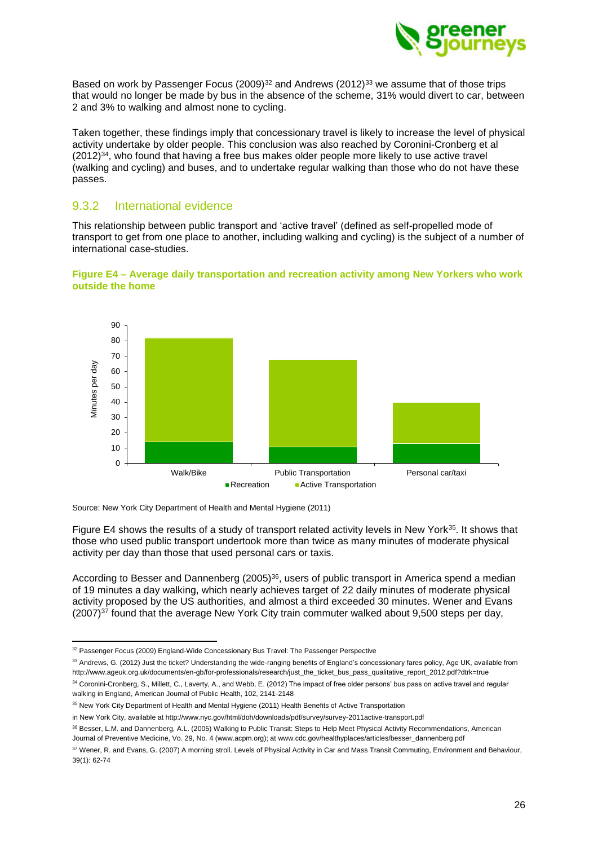

Based on work by Passenger Focus (2009)<sup>32</sup> and Andrews (2012)<sup>33</sup> we assume that of those trips that would no longer be made by bus in the absence of the scheme, 31% would divert to car, between 2 and 3% to walking and almost none to cycling.

Taken together, these findings imply that concessionary travel is likely to increase the level of physical activity undertake by older people. This conclusion was also reached by Coronini-Cronberg et al  $(2012)^{34}$ , who found that having a free bus makes older people more likely to use active travel (walking and cycling) and buses, and to undertake regular walking than those who do not have these passes.

#### 9.3.2 International evidence

This relationship between public transport and 'active travel' (defined as self-propelled mode of transport to get from one place to another, including walking and cycling) is the subject of a number of international case-studies.





Source: New York City Department of Health and Mental Hygiene (2011)

Figure E4 shows the results of a study of transport related activity levels in New York<sup>35</sup>. It shows that those who used public transport undertook more than twice as many minutes of moderate physical activity per day than those that used personal cars or taxis.

According to Besser and Dannenberg (2005)<sup>36</sup>, users of public transport in America spend a median of 19 minutes a day walking, which nearly achieves target of 22 daily minutes of moderate physical activity proposed by the US authorities, and almost a third exceeded 30 minutes. Wener and Evans  $(2007)^{37}$  found that the average New York City train commuter walked about 9,500 steps per day.

33 Andrews, G. (2012) Just the ticket? Understanding the wide-ranging benefits of England's concessionary fares policy, Age UK, available from http://www.ageuk.org.uk/documents/en-gb/for-professionals/research/just\_the\_ticket\_bus\_pass\_qualitative\_report\_2012.pdf?dtrk=true

 $\overline{a}$ <sup>32</sup> Passenger Focus (2009) England-Wide Concessionary Bus Travel: The Passenger Perspective

<sup>&</sup>lt;sup>34</sup> Coronini-Cronberg, S., Millett, C., Laverty, A., and Webb, E. (2012) The impact of free older persons' bus pass on active travel and regular walking in England, American Journal of Public Health, 102, 2141-2148

<sup>&</sup>lt;sup>35</sup> New York City Department of Health and Mental Hygiene (2011) Health Benefits of Active Transportation

in New York City, available at http://www.nyc.gov/html/doh/downloads/pdf/survey/survey-2011active-transport.pdf

<sup>36</sup> Besser, L.M. and Dannenberg, A.L. (2005) Walking to Public Transit: Steps to Help Meet Physical Activity Recommendations, American Journal of Preventive Medicine, Vo. 29, No. 4 (www.acpm.org); at www.cdc.gov/healthyplaces/articles/besser\_dannenberg.pdf

<sup>37</sup> Wener, R. and Evans, G. (2007) A morning stroll. Levels of Physical Activity in Car and Mass Transit Commuting, Environment and Behaviour, 39(1): 62-74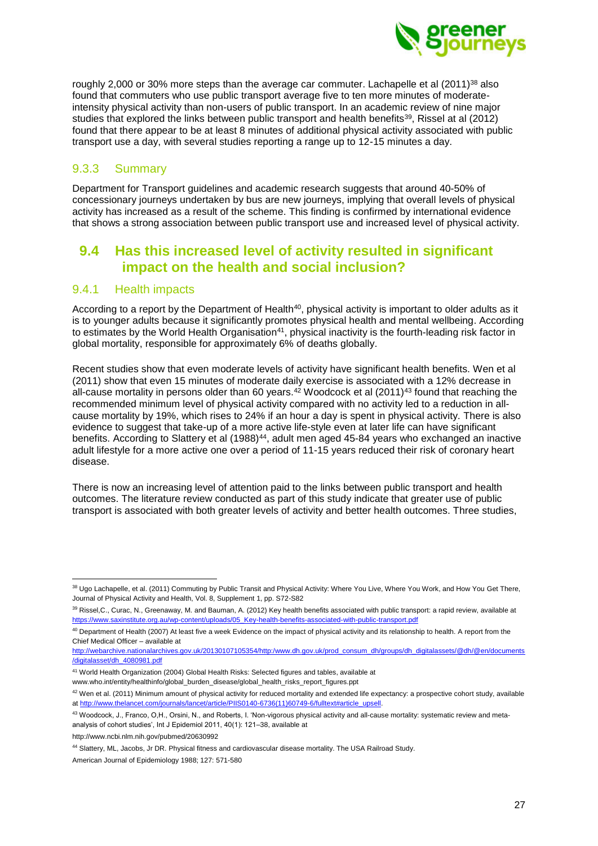

roughly 2,000 or 30% more steps than the average car commuter. Lachapelle et al (2011)<sup>38</sup> also found that commuters who use public transport average five to ten more minutes of moderateintensity physical activity than non-users of public transport. In an academic review of nine major studies that explored the links between public transport and health benefits<sup>39</sup>, Rissel at al (2012) found that there appear to be at least 8 minutes of additional physical activity associated with public transport use a day, with several studies reporting a range up to 12-15 minutes a day.

### 9.3.3 Summary

Department for Transport guidelines and academic research suggests that around 40-50% of concessionary journeys undertaken by bus are new journeys, implying that overall levels of physical activity has increased as a result of the scheme. This finding is confirmed by international evidence that shows a strong association between public transport use and increased level of physical activity.

### **9.4 Has this increased level of activity resulted in significant impact on the health and social inclusion?**

#### 9.4.1 Health impacts

According to a report by the Department of Health<sup>40</sup>, physical activity is important to older adults as it is to younger adults because it significantly promotes physical health and mental wellbeing. According to estimates by the World Health Organisation<sup>41</sup>, physical inactivity is the fourth-leading risk factor in global mortality, responsible for approximately 6% of deaths globally.

Recent studies show that even moderate levels of activity have significant health benefits. Wen et al (2011) show that even 15 minutes of moderate daily exercise is associated with a 12% decrease in all-cause mortality in persons older than 60 years.<sup>42</sup> Woodcock et al (2011)<sup>43</sup> found that reaching the recommended minimum level of physical activity compared with no activity led to a reduction in allcause mortality by 19%, which rises to 24% if an hour a day is spent in physical activity. There is also evidence to suggest that take-up of a more active life-style even at later life can have significant benefits. According to Slattery et al (1988)<sup>44</sup>, adult men aged 45-84 years who exchanged an inactive adult lifestyle for a more active one over a period of 11-15 years reduced their risk of coronary heart disease.

There is now an increasing level of attention paid to the links between public transport and health outcomes. The literature review conducted as part of this study indicate that greater use of public transport is associated with both greater levels of activity and better health outcomes. Three studies,

www.who.int/entity/healthinfo/global\_burden\_disease/global\_health\_risks\_report\_figures.ppt

http://www.ncbi.nlm.nih.gov/pubmed/20630992

<sup>44</sup> Slattery, ML, Jacobs, Jr DR. Physical fitness and cardiovascular disease mortality. The USA Railroad Study. American Journal of Epidemiology 1988; 127: 571-580

<sup>1</sup> <sup>38</sup> Ugo Lachapelle, et al. (2011) Commuting by Public Transit and Physical Activity: Where You Live, Where You Work, and How You Get There, Journal of Physical Activity and Health, Vol. 8, Supplement 1, pp. S72-S82

<sup>39</sup> Rissel, C., Curac, N., Greenaway, M. and Bauman, A. (2012) Key health benefits associated with public transport: a rapid review, available at [https://www.saxinstitute.org.au/wp-content/uploads/05\\_Key-health-benefits-associated-with-public-transport.pdf](https://www.saxinstitute.org.au/wp-content/uploads/05_Key-health-benefits-associated-with-public-transport.pdf)

<sup>&</sup>lt;sup>40</sup> Department of Health (2007) At least five a week Evidence on the impact of physical activity and its relationship to health. A report from the Chief Medical Officer – available at

[http://webarchive.nationalarchives.gov.uk/20130107105354/http:/www.dh.gov.uk/prod\\_consum\\_dh/groups/dh\\_digitalassets/@dh/@en/documents](http://webarchive.nationalarchives.gov.uk/20130107105354/http:/www.dh.gov.uk/prod_consum_dh/groups/dh_digitalassets/@dh/@en/documents/digitalasset/dh_4080981.pdf) [/digitalasset/dh\\_4080981.pdf](http://webarchive.nationalarchives.gov.uk/20130107105354/http:/www.dh.gov.uk/prod_consum_dh/groups/dh_digitalassets/@dh/@en/documents/digitalasset/dh_4080981.pdf)

<sup>41</sup> World Health Organization (2004) Global Health Risks: Selected figures and tables, available at

<sup>42</sup> Wen et al. (2011) Minimum amount of physical activity for reduced mortality and extended life expectancy: a prospective cohort study, available at [http://www.thelancet.com/journals/lancet/article/PIIS0140-6736\(11\)60749-6/fulltext#article\\_upsell.](http://www.thelancet.com/journals/lancet/article/PIIS0140-6736(11)60749-6/fulltext#article_upsell) 

<sup>43</sup> Woodcock, J., Franco, O,H., Orsini, N., and Roberts, I. 'Non-vigorous physical activity and all-cause mortality: systematic review and metaanalysis of cohort studies', Int J Epidemiol 2011, 40(1): 121–38, available at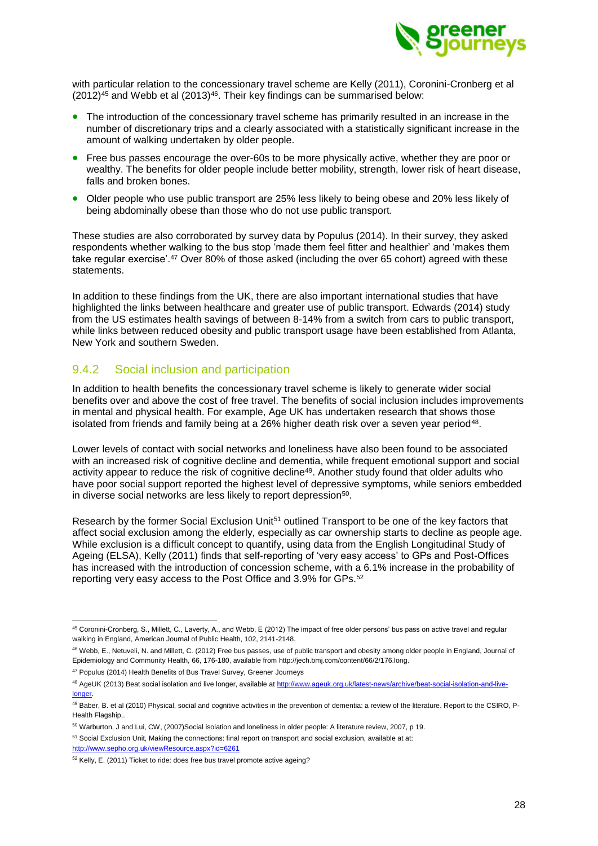

with particular relation to the concessionary travel scheme are Kelly (2011), Coronini-Cronberg et al  $(2012)^{45}$  and Webb et al  $(2013)^{46}$ . Their key findings can be summarised below:

- The introduction of the concessionary travel scheme has primarily resulted in an increase in the number of discretionary trips and a clearly associated with a statistically significant increase in the amount of walking undertaken by older people.
- Free bus passes encourage the over-60s to be more physically active, whether they are poor or wealthy. The benefits for older people include better mobility, strength, lower risk of heart disease, falls and broken bones.
- Older people who use public transport are 25% less likely to being obese and 20% less likely of being abdominally obese than those who do not use public transport.

These studies are also corroborated by survey data by Populus (2014). In their survey, they asked respondents whether walking to the bus stop 'made them feel fitter and healthier' and 'makes them take regular exercise'.<sup>47</sup> Over 80% of those asked (including the over 65 cohort) agreed with these statements.

In addition to these findings from the UK, there are also important international studies that have highlighted the links between healthcare and greater use of public transport. Edwards (2014) study from the US estimates health savings of between 8-14% from a switch from cars to public transport, while links between reduced obesity and public transport usage have been established from Atlanta, New York and southern Sweden.

#### 9.4.2 Social inclusion and participation

In addition to health benefits the concessionary travel scheme is likely to generate wider social benefits over and above the cost of free travel. The benefits of social inclusion includes improvements in mental and physical health. For example, Age UK has undertaken research that shows those isolated from friends and family being at a 26% higher death risk over a seven year period<sup>48</sup>.

Lower levels of contact with social networks and loneliness have also been found to be associated with an increased risk of cognitive decline and dementia, while frequent emotional support and social activity appear to reduce the risk of cognitive decline<sup>49</sup>. Another study found that older adults who have poor social support reported the highest level of depressive symptoms, while seniors embedded in diverse social networks are less likely to report depression<sup>50</sup>.

Research by the former Social Exclusion Unit<sup>51</sup> outlined Transport to be one of the key factors that affect social exclusion among the elderly, especially as car ownership starts to decline as people age. While exclusion is a difficult concept to quantify, using data from the English Longitudinal Study of Ageing (ELSA), Kelly (2011) finds that self-reporting of 'very easy access' to GPs and Post-Offices has increased with the introduction of concession scheme, with a 6.1% increase in the probability of reporting very easy access to the Post Office and 3.9% for GPs.<sup>52</sup>

**<sup>.</sup>** <sup>45</sup> Coronini-Cronberg, S., Millett, C., Laverty, A., and Webb, E (2012) The impact of free older persons' bus pass on active travel and regular walking in England, American Journal of Public Health, 102, 2141-2148.

<sup>&</sup>lt;sup>46</sup> Webb, E., Netuveli, N. and Millett, C. (2012) Free bus passes, use of public transport and obesity among older people in England, Journal of Epidemiology and Community Health, 66, 176-180, available from http://jech.bmj.com/content/66/2/176.long.

<sup>47</sup> Populus (2014) Health Benefits of Bus Travel Survey, Greener Journeys

<sup>48</sup> AgeUK (2013) Beat social isolation and live longer, available at [http://www.ageuk.org.uk/latest-news/archive/beat-social-isolation-and-live](http://www.ageuk.org.uk/latest-news/archive/beat-social-isolation-and-live-longer)[longer.](http://www.ageuk.org.uk/latest-news/archive/beat-social-isolation-and-live-longer) 

<sup>49</sup> Baber, B. et al (2010) Physical, social and cognitive activities in the prevention of dementia: a review of the literature. Report to the CSIRO, P-Health Flagship...

<sup>50</sup> Warburton, J and Lui, CW, (2007)Social isolation and loneliness in older people: A literature review, 2007, p 19.

<sup>51</sup> Social Exclusion Unit, Making the connections: final report on transport and social exclusion, available at at: <http://www.sepho.org.uk/viewResource.aspx?id=6261>

<sup>52</sup> Kelly, E. (2011) Ticket to ride: does free bus travel promote active ageing?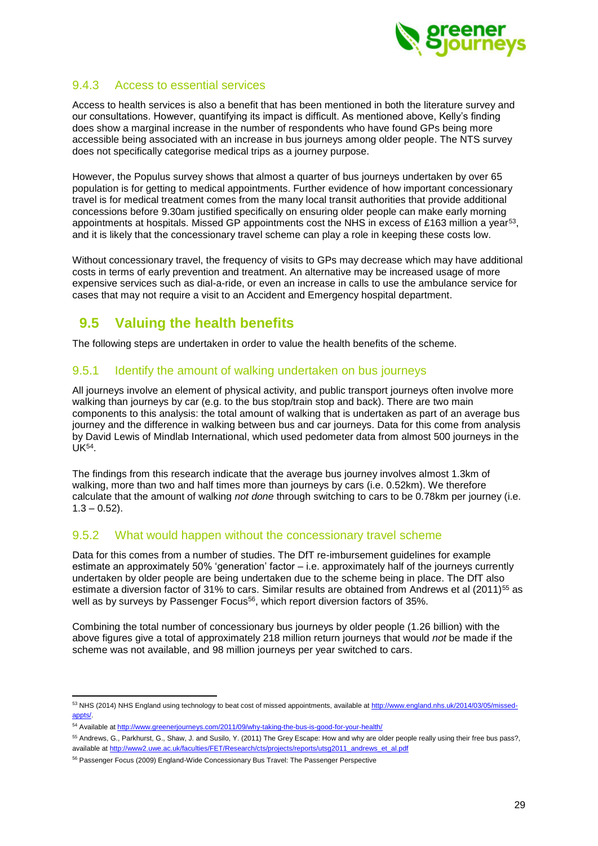

### 9.4.3 Access to essential services

Access to health services is also a benefit that has been mentioned in both the literature survey and our consultations. However, quantifying its impact is difficult. As mentioned above, Kelly's finding does show a marginal increase in the number of respondents who have found GPs being more accessible being associated with an increase in bus journeys among older people. The NTS survey does not specifically categorise medical trips as a journey purpose.

However, the Populus survey shows that almost a quarter of bus journeys undertaken by over 65 population is for getting to medical appointments. Further evidence of how important concessionary travel is for medical treatment comes from the many local transit authorities that provide additional concessions before 9.30am justified specifically on ensuring older people can make early morning appointments at hospitals. Missed GP appointments cost the NHS in excess of £163 million a year<sup>53</sup>, and it is likely that the concessionary travel scheme can play a role in keeping these costs low.

Without concessionary travel, the frequency of visits to GPs may decrease which may have additional costs in terms of early prevention and treatment. An alternative may be increased usage of more expensive services such as dial-a-ride, or even an increase in calls to use the ambulance service for cases that may not require a visit to an Accident and Emergency hospital department.

# **9.5 Valuing the health benefits**

The following steps are undertaken in order to value the health benefits of the scheme.

### 9.5.1 Identify the amount of walking undertaken on bus journeys

All journeys involve an element of physical activity, and public transport journeys often involve more walking than journeys by car (e.g. to the bus stop/train stop and back). There are two main components to this analysis: the total amount of walking that is undertaken as part of an average bus journey and the difference in walking between bus and car journeys. Data for this come from analysis by David Lewis of Mindlab International, which used pedometer data from almost 500 journeys in the UK<sup>54</sup> .

The findings from this research indicate that the average bus journey involves almost 1.3km of walking, more than two and half times more than journeys by cars (i.e. 0.52km). We therefore calculate that the amount of walking *not done* through switching to cars to be 0.78km per journey (i.e.  $1.3 - 0.52$ ).

### 9.5.2 What would happen without the concessionary travel scheme

Data for this comes from a number of studies. The DfT re-imbursement guidelines for example estimate an approximately 50% 'generation' factor – i.e. approximately half of the journeys currently undertaken by older people are being undertaken due to the scheme being in place. The DfT also estimate a diversion factor of 31% to cars. Similar results are obtained from Andrews et al (2011)<sup>55</sup> as well as by surveys by Passenger Focus<sup>56</sup>, which report diversion factors of 35%.

Combining the total number of concessionary bus journeys by older people (1.26 billion) with the above figures give a total of approximately 218 million return journeys that would *not* be made if the scheme was not available, and 98 million journeys per year switched to cars.

**.** 

<sup>53</sup> NHS (2014) NHS England using technology to beat cost of missed appointments, available at [http://www.england.nhs.uk/2014/03/05/missed](http://www.england.nhs.uk/2014/03/05/missed-appts/)[appts/.](http://www.england.nhs.uk/2014/03/05/missed-appts/) 

<sup>54</sup> Available a[t http://www.greenerjourneys.com/2011/09/why-taking-the-bus-is-good-for-your-health/](http://www.greenerjourneys.com/2011/09/why-taking-the-bus-is-good-for-your-health/)

<sup>55</sup> Andrews, G., Parkhurst, G., Shaw, J. and Susilo, Y. (2011) The Grey Escape: How and why are older people really using their free bus pass?, available a[t http://www2.uwe.ac.uk/faculties/FET/Research/cts/projects/reports/utsg2011\\_andrews\\_et\\_al.pdf](http://www2.uwe.ac.uk/faculties/FET/Research/cts/projects/reports/utsg2011_andrews_et_al.pdf)

<sup>56</sup> Passenger Focus (2009) England-Wide Concessionary Bus Travel: The Passenger Perspective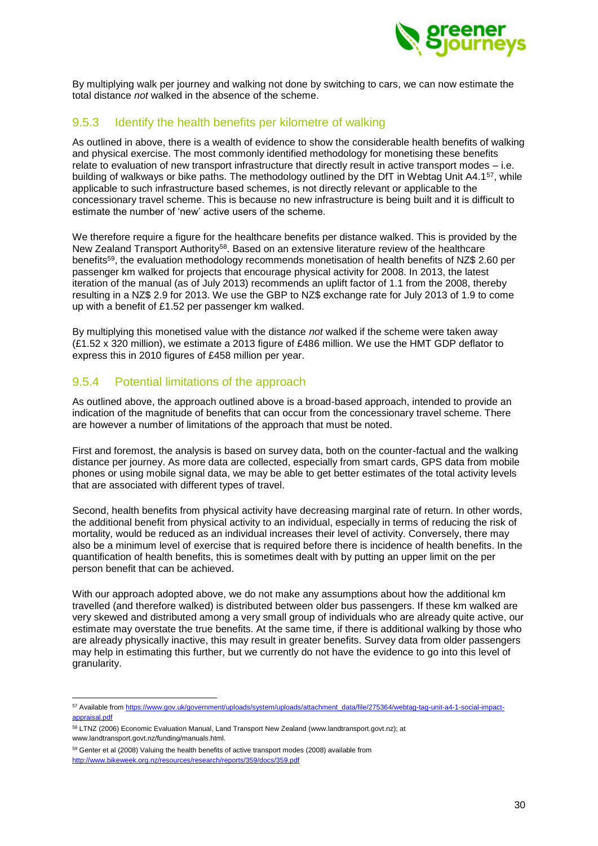

By multiplying walk per journey and walking not done by switching to cars, we can now estimate the total distance *not* walked in the absence of the scheme.

#### 9.5.3 Identify the health benefits per kilometre of walking

As outlined in above, there is a wealth of evidence to show the considerable health benefits of walking and physical exercise. The most commonly identified methodology for monetising these benefits relate to evaluation of new transport infrastructure that directly result in active transport modes – i.e. building of walkways or bike paths. The methodology outlined by the DfT in Webtag Unit A4.157, while applicable to such infrastructure based schemes, is not directly relevant or applicable to the concessionary travel scheme. This is because no new infrastructure is being built and it is difficult to estimate the number of 'new' active users of the scheme.

We therefore require a figure for the healthcare benefits per distance walked. This is provided by the New Zealand Transport Authority<sup>58</sup>. Based on an extensive literature review of the healthcare benefits<sup>59</sup>, the evaluation methodology recommends monetisation of health benefits of NZ\$ 2.60 per passenger km walked for projects that encourage physical activity for 2008. In 2013, the latest iteration of the manual (as of July 2013) recommends an uplift factor of 1.1 from the 2008, thereby resulting in a NZ\$ 2.9 for 2013. We use the GBP to NZ\$ exchange rate for July 2013 of 1.9 to come up with a benefit of £1.52 per passenger km walked.

By multiplying this monetised value with the distance *not* walked if the scheme were taken away (£1.52 x 320 million), we estimate a 2013 figure of £486 million. We use the HMT GDP deflator to express this in 2010 figures of £458 million per year.

### 9.5.4 Potential limitations of the approach

As outlined above, the approach outlined above is a broad-based approach, intended to provide an indication of the magnitude of benefits that can occur from the concessionary travel scheme. There are however a number of limitations of the approach that must be noted.

First and foremost, the analysis is based on survey data, both on the counter-factual and the walking distance per journey. As more data are collected, especially from smart cards, GPS data from mobile phones or using mobile signal data, we may be able to get better estimates of the total activity levels that are associated with different types of travel.

Second, health benefits from physical activity have decreasing marginal rate of return. In other words, the additional benefit from physical activity to an individual, especially in terms of reducing the risk of mortality, would be reduced as an individual increases their level of activity. Conversely, there may also be a minimum level of exercise that is required before there is incidence of health benefits. In the quantification of health benefits, this is sometimes dealt with by putting an upper limit on the per person benefit that can be achieved.

With our approach adopted above, we do not make any assumptions about how the additional km travelled (and therefore walked) is distributed between older bus passengers. If these km walked are very skewed and distributed among a very small group of individuals who are already quite active, our estimate may overstate the true benefits. At the same time, if there is additional walking by those who are already physically inactive, this may result in greater benefits. Survey data from older passengers may help in estimating this further, but we currently do not have the evidence to go into this level of granularity.

**<sup>.</sup>** 57 Available fro[m https://www.gov.uk/government/uploads/system/uploads/attachment\\_data/file/275364/webtag-tag-unit-a4-1-social-impact](https://www.gov.uk/government/uploads/system/uploads/attachment_data/file/275364/webtag-tag-unit-a4-1-social-impact-appraisal.pdf)[appraisal.pdf](https://www.gov.uk/government/uploads/system/uploads/attachment_data/file/275364/webtag-tag-unit-a4-1-social-impact-appraisal.pdf)

<sup>58</sup> LTNZ (2006) Economic Evaluation Manual, Land Transport New Zealand (www.landtransport.govt.nz); at www.landtransport.govt.nz/funding/manuals.html.

<sup>&</sup>lt;sup>59</sup> Genter et al (2008) Valuing the health benefits of active transport modes (2008) available from <http://www.bikeweek.org.nz/resources/research/reports/359/docs/359.pdf>